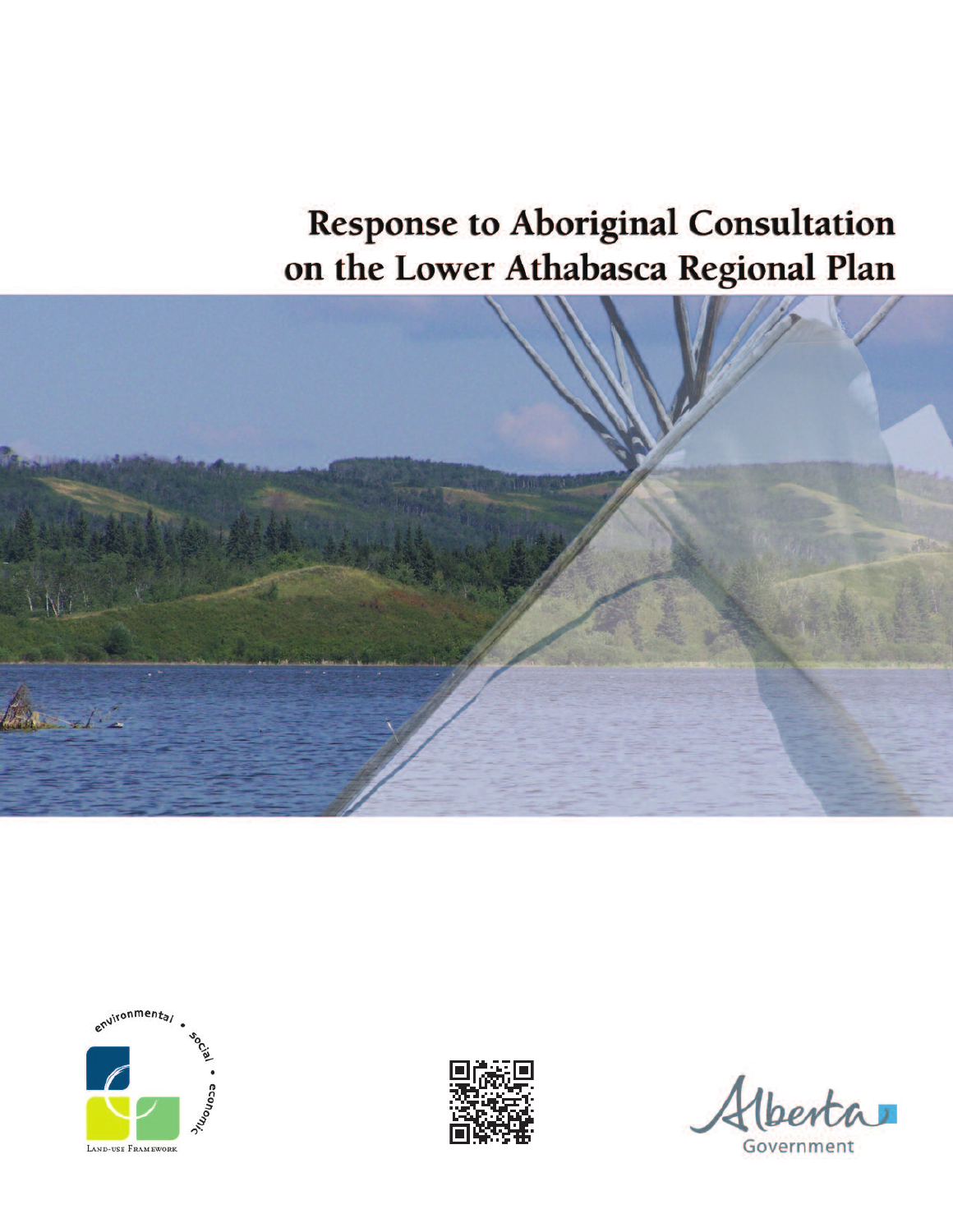# **Response to Aboriginal Consultation** on the Lower Athabasca Regional Plan







entra

Government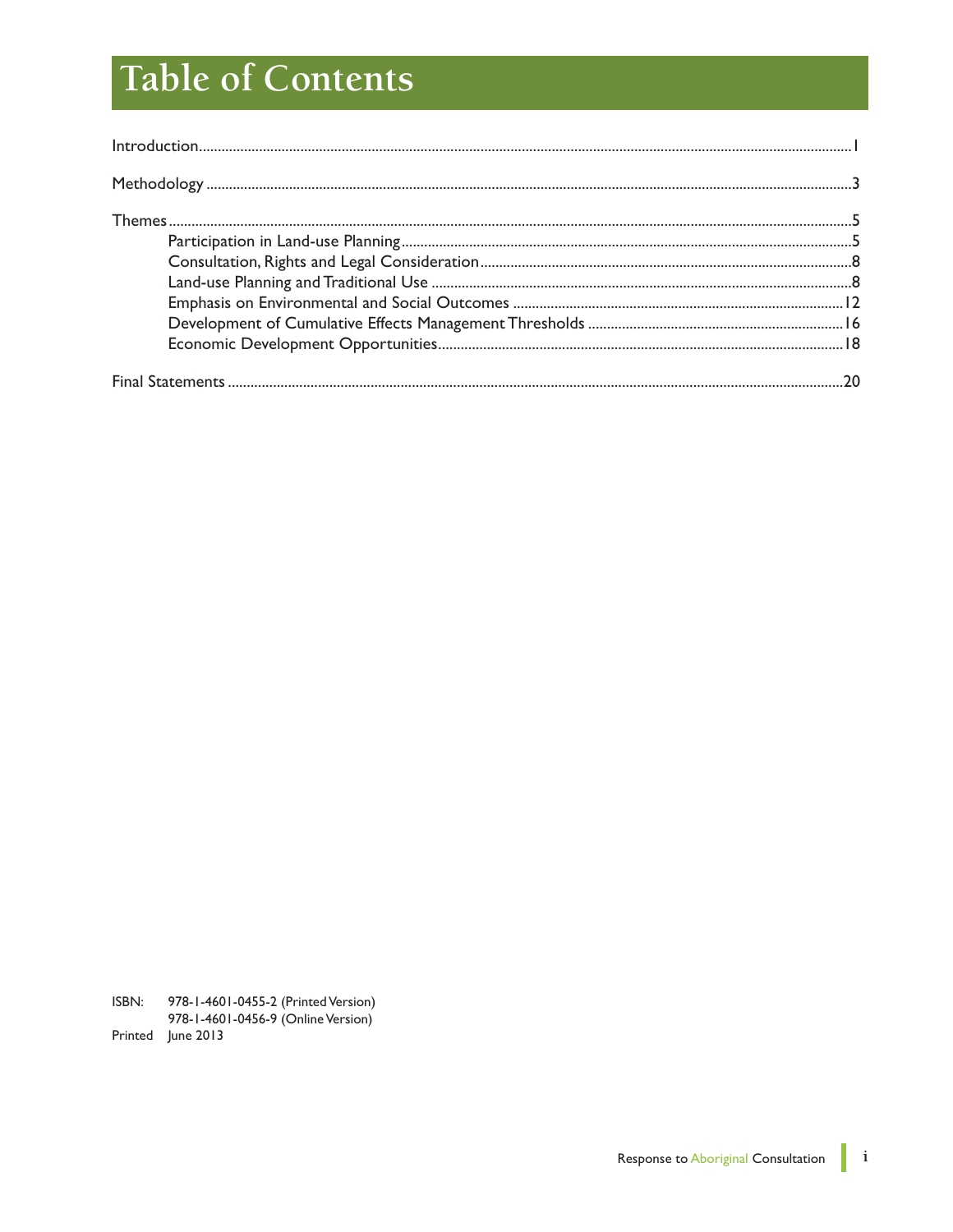# Table of Contents

| $\lvert \text{ntroduction}.\text{}\dots \text{}\dots \text{}\dots \text{}\dots \text{}\dots \text{}\dots \text{}\dots \text{}\dots \text{}\dots \text{}\dots \text{}\dots \text{}\dots \text{}\dots \text{}\dots \text{}\dots \text{}\dots \text{}\dots \text{}\dots \text{}\dots \text{}\dots \text{}\dots \text{}\dots \text{}\dots \text{}\dots \text{}\dots \text{}\dots \text{}\dots \text{}\dots \text{}\dots \text{}\dots \text{}\dots \text{}\dots \text{}\dots \text{}\dots \text{}\dots$ |  |
|----------------------------------------------------------------------------------------------------------------------------------------------------------------------------------------------------------------------------------------------------------------------------------------------------------------------------------------------------------------------------------------------------------------------------------------------------------------------------------------------------|--|
|                                                                                                                                                                                                                                                                                                                                                                                                                                                                                                    |  |
|                                                                                                                                                                                                                                                                                                                                                                                                                                                                                                    |  |
|                                                                                                                                                                                                                                                                                                                                                                                                                                                                                                    |  |
|                                                                                                                                                                                                                                                                                                                                                                                                                                                                                                    |  |
|                                                                                                                                                                                                                                                                                                                                                                                                                                                                                                    |  |
|                                                                                                                                                                                                                                                                                                                                                                                                                                                                                                    |  |
|                                                                                                                                                                                                                                                                                                                                                                                                                                                                                                    |  |
|                                                                                                                                                                                                                                                                                                                                                                                                                                                                                                    |  |
|                                                                                                                                                                                                                                                                                                                                                                                                                                                                                                    |  |

ISBN: 978-1-4601-0455-2 (Printed Version) 978-1-4601-0456-9 (Online Version) Printed June 2013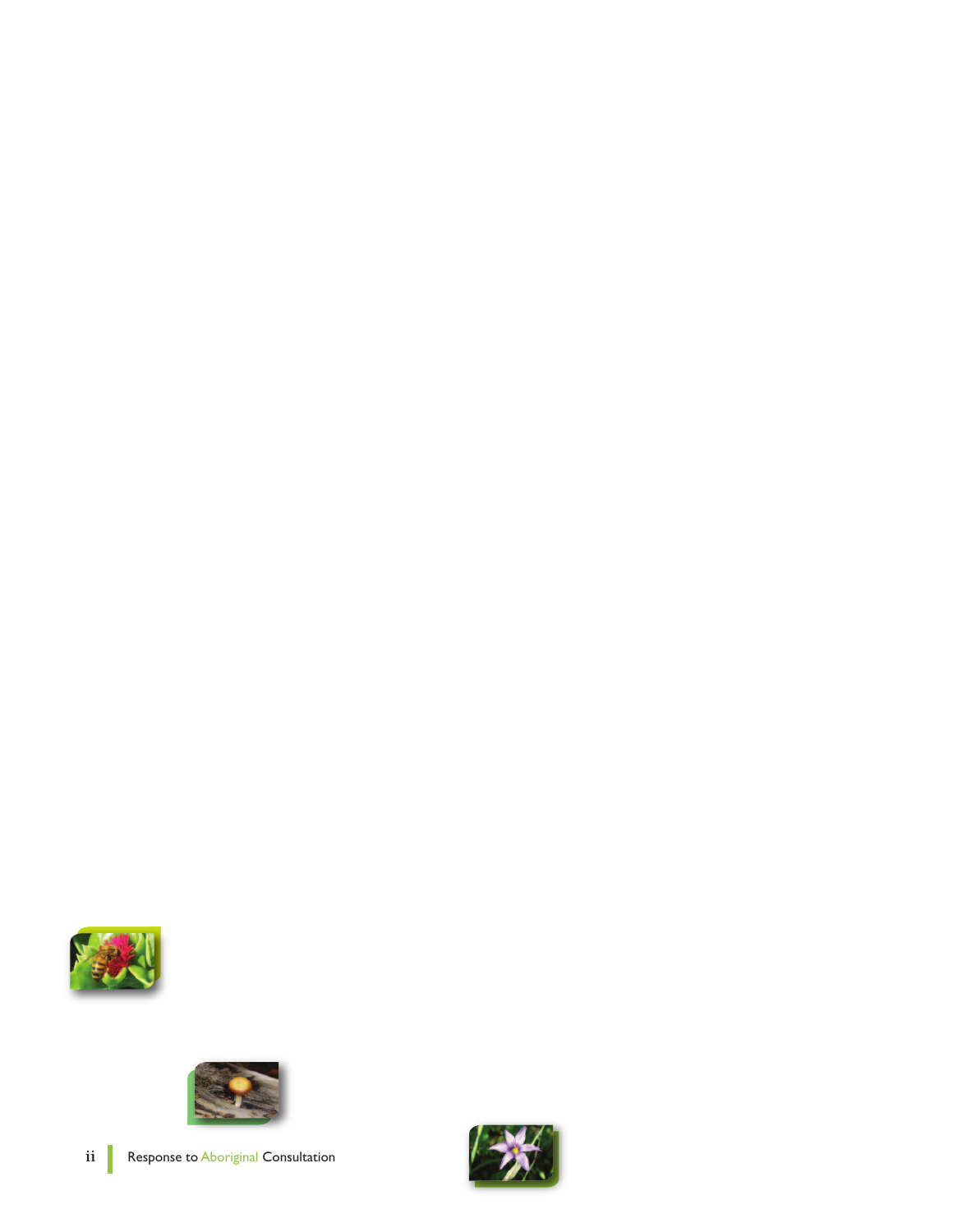



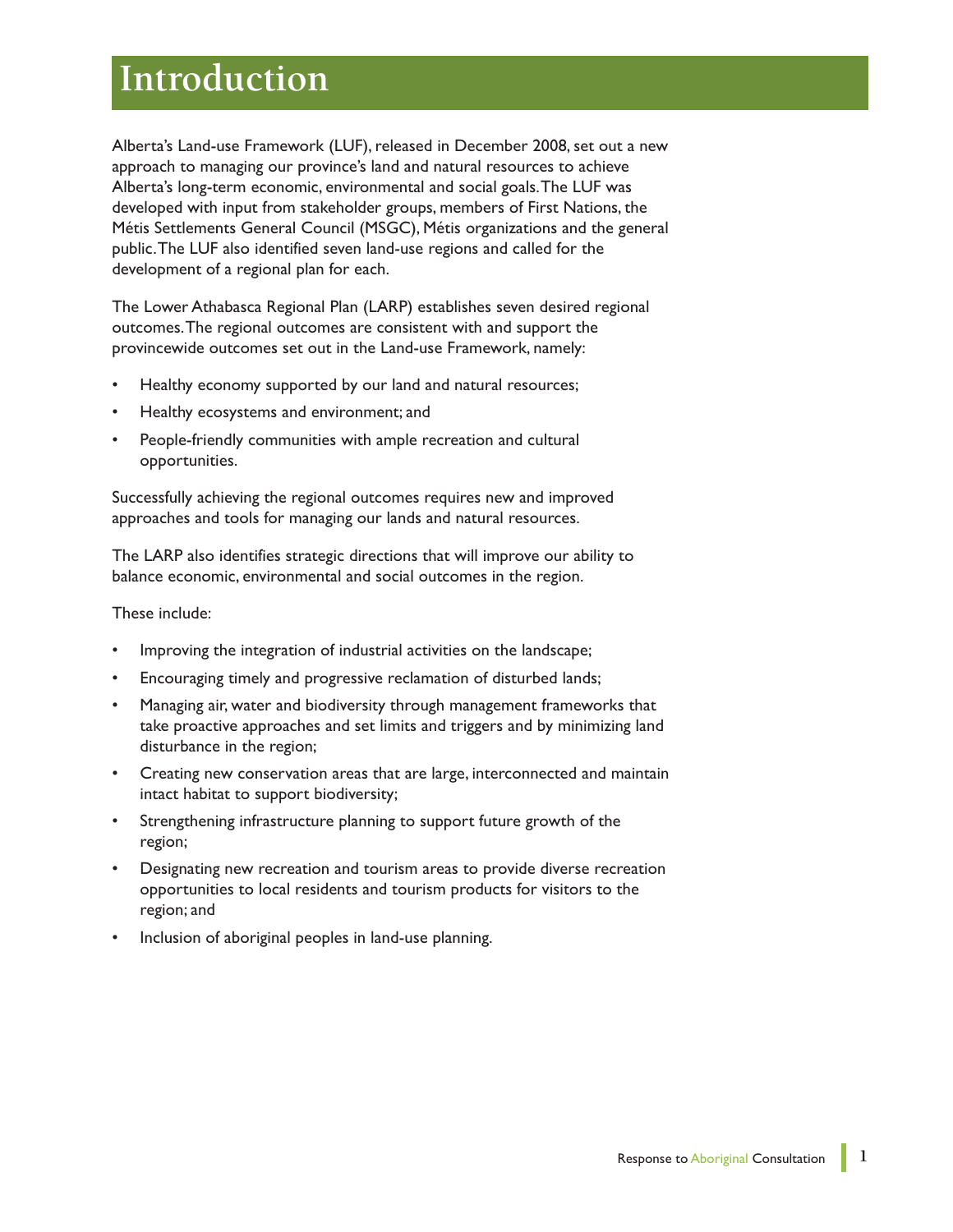## **Introduction**

Alberta's Land-use Framework (LUF), released in December 2008, set out a new approach to managing our province's land and natural resources to achieve Alberta's long-term economic, environmental and social goals.The LUF was developed with input from stakeholder groups, members of First Nations, the Métis Settlements General Council (MSGC), Métis organizations and the general public.The LUF also identified seven land-use regions and called for the development of a regional plan for each.

The Lower Athabasca Regional Plan (LARP) establishes seven desired regional outcomes.The regional outcomes are consistent with and support the provincewide outcomes set out in the Land-use Framework, namely:

- Healthy economy supported by our land and natural resources;
- Healthy ecosystems and environment; and
- People-friendly communities with ample recreation and cultural opportunities.

Successfully achieving the regional outcomes requires new and improved approaches and tools for managing our lands and natural resources.

The LARP also identifies strategic directions that will improve our ability to balance economic, environmental and social outcomes in the region.

#### These include:

- Improving the integration of industrial activities on the landscape;
- Encouraging timely and progressive reclamation of disturbed lands;
- Managing air, water and biodiversity through management frameworks that take proactive approaches and set limits and triggers and by minimizing land disturbance in the region;
- Creating new conservation areas that are large, interconnected and maintain intact habitat to support biodiversity;
- Strengthening infrastructure planning to support future growth of the region;
- Designating new recreation and tourism areas to provide diverse recreation opportunities to local residents and tourism products for visitors to the region; and
- Inclusion of aboriginal peoples in land-use planning.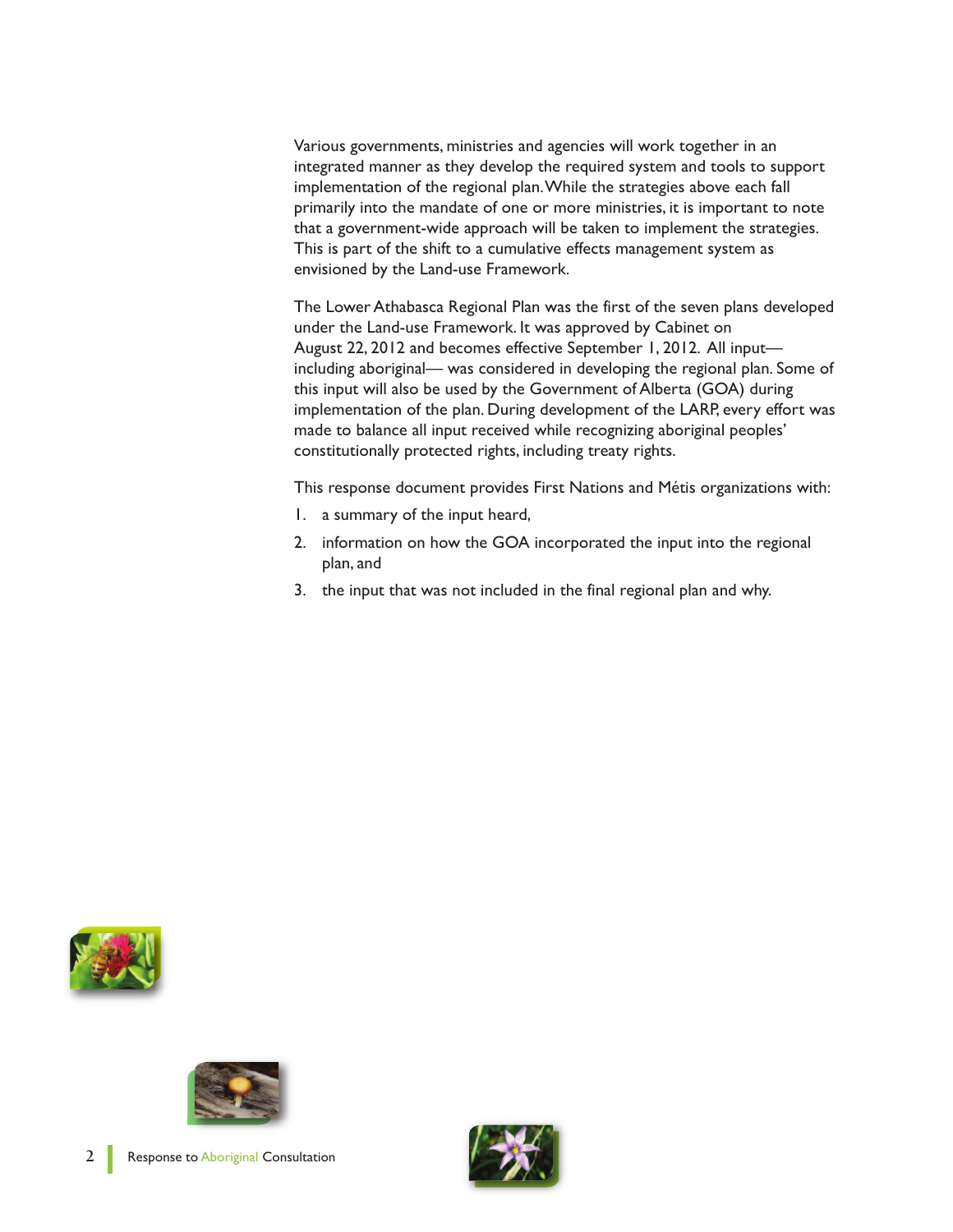Various governments, ministries and agencies will work together in an integrated manner as they develop the required system and tools to support implementation of the regional plan.While the strategies above each fall primarily into the mandate of one or more ministries, it is important to note that a government-wide approach will be taken to implement the strategies. This is part of the shift to a cumulative effects management system as envisioned by the Land-use Framework.

The Lower Athabasca Regional Plan was the first of the seven plans developed under the Land-use Framework. It was approved by Cabinet on August 22, 2012 and becomes effective September 1, 2012. All input including aboriginal— was considered in developing the regional plan. Some of this input will also be used by the Government of Alberta (GOA) during implementation of the plan. During development of the LARP, every effort was made to balance all input received while recognizing aboriginal peoples' constitutionally protected rights, including treaty rights.

This response document provides First Nations and Métis organizations with:

- 1. a summary of the input heard,
- 2. information on how the GOA incorporated the input into the regional plan, and
- 3. the input that was not included in the final regional plan and why.





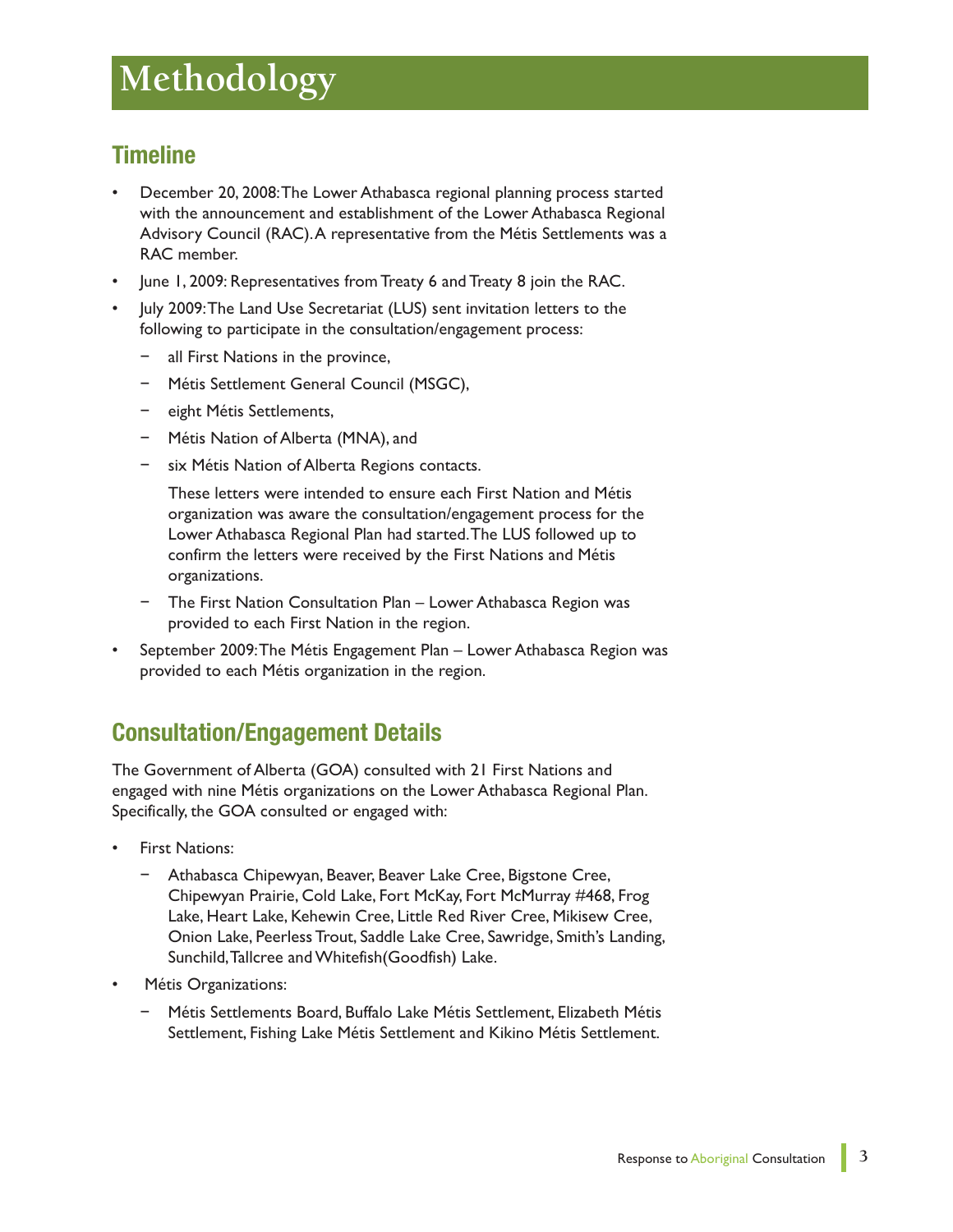# **Methodology**

## **Timeline**

- December 20, 2008:The Lower Athabasca regional planning process started with the announcement and establishment of the Lower Athabasca Regional Advisory Council (RAC).A representative from the Métis Settlements was a RAC member.
- June 1, 2009: Representatives fromTreaty 6 and Treaty 8 join the RAC.
- July 2009:The Land Use Secretariat (LUS) sent invitation letters to the following to participate in the consultation/engagement process:
	- all First Nations in the province,
	- − Métis Settlement General Council (MSGC),
	- − eight Métis Settlements,
	- − Métis Nation of Alberta (MNA), and
	- − six Métis Nation of Alberta Regions contacts.

These letters were intended to ensure each First Nation and Métis organization was aware the consultation/engagement process for the Lower Athabasca Regional Plan had started.The LUS followed up to confirm the letters were received by the First Nations and Métis organizations.

- − The First Nation Consultation Plan Lower Athabasca Region was provided to each First Nation in the region.
- September 2009:The Métis Engagement Plan Lower Athabasca Region was provided to each Métis organization in the region.

### **Consultation/Engagement Details**

The Government of Alberta (GOA) consulted with 21 First Nations and engaged with nine Métis organizations on the Lower Athabasca Regional Plan. Specifically, the GOA consulted or engaged with:

- **First Nations:** 
	- − Athabasca Chipewyan, Beaver, Beaver Lake Cree, Bigstone Cree, Chipewyan Prairie, Cold Lake, Fort McKay, Fort McMurray #468, Frog Lake, Heart Lake, Kehewin Cree, Little Red River Cree, Mikisew Cree, Onion Lake, Peerless Trout, Saddle Lake Cree, Sawridge, Smith's Landing, Sunchild,Tallcree andWhitefish(Goodfish) Lake.
- Métis Organizations:
	- − Métis Settlements Board, Buffalo Lake Métis Settlement, Elizabeth Métis Settlement, Fishing Lake Métis Settlement and Kikino Métis Settlement.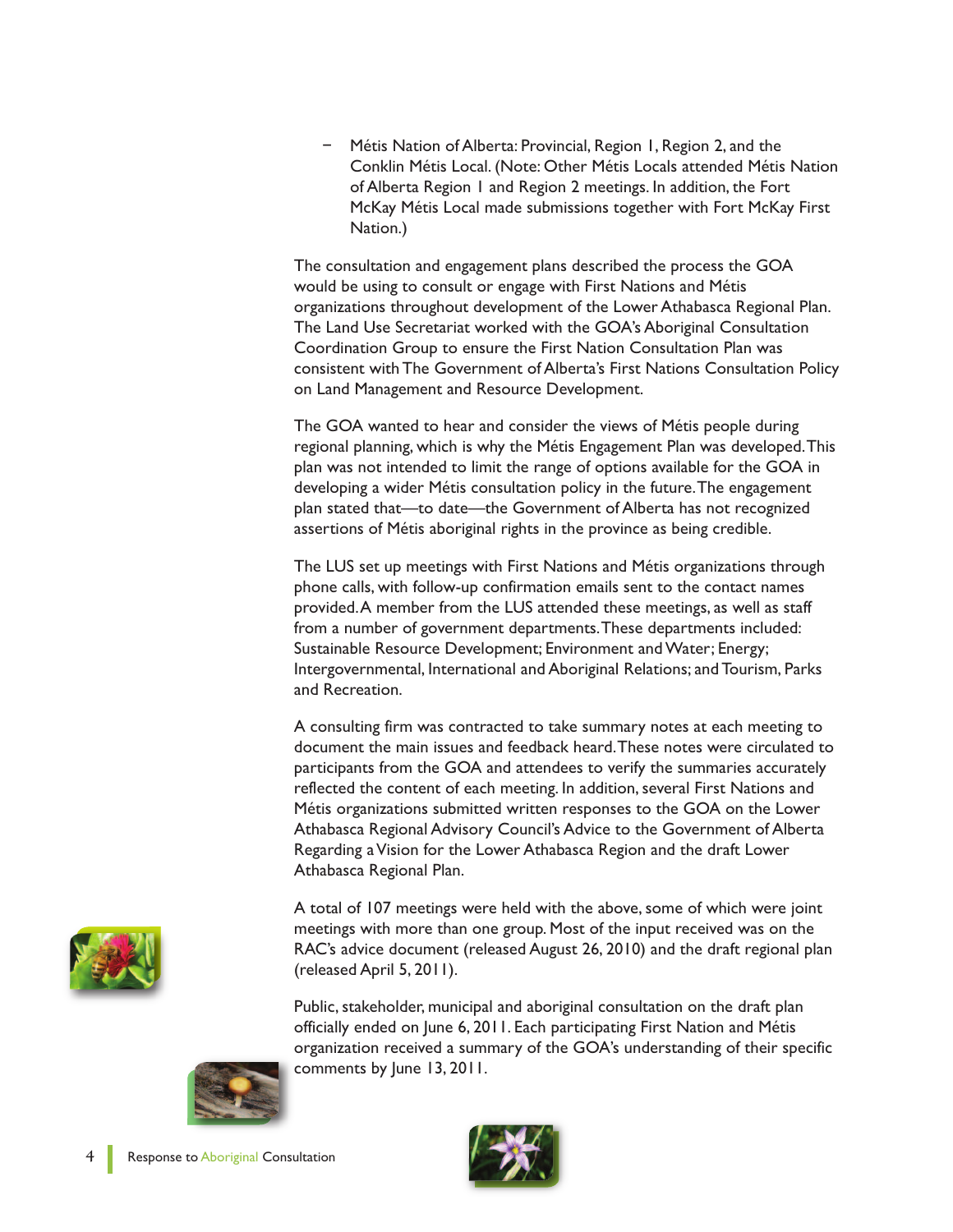− Métis Nation of Alberta: Provincial, Region 1, Region 2, and the Conklin Métis Local. (Note: Other Métis Locals attended Métis Nation of Alberta Region 1 and Region 2 meetings. In addition, the Fort McKay Métis Local made submissions together with Fort McKay First Nation.)

The consultation and engagement plans described the process the GOA would be using to consult or engage with First Nations and Métis organizations throughout development of the Lower Athabasca Regional Plan. The Land Use Secretariat worked with the GOA's Aboriginal Consultation Coordination Group to ensure the First Nation Consultation Plan was consistent with The Government of Alberta's First Nations Consultation Policy on Land Management and Resource Development.

The GOA wanted to hear and consider the views of Métis people during regional planning, which is why the Métis Engagement Plan was developed.This plan was not intended to limit the range of options available for the GOA in developing a wider Métis consultation policy in the future.The engagement plan stated that—to date—the Government of Alberta has not recognized assertions of Métis aboriginal rights in the province as being credible.

The LUS set up meetings with First Nations and Métis organizations through phone calls, with follow-up confirmation emails sent to the contact names provided.A member from the LUS attended these meetings, as well as staff from a number of government departments.These departments included: Sustainable Resource Development; Environment and Water; Energy; Intergovernmental, International and Aboriginal Relations; and Tourism, Parks and Recreation.

A consulting firm was contracted to take summary notes at each meeting to document the main issues and feedback heard.These notes were circulated to participants from the GOA and attendees to verify the summaries accurately reflected the content of each meeting. In addition, several First Nations and Métis organizations submitted written responses to the GOA on the Lower Athabasca Regional Advisory Council's Advice to the Government of Alberta Regarding aVision for the Lower Athabasca Region and the draft Lower Athabasca Regional Plan.

A total of 107 meetings were held with the above, some of which were joint meetings with more than one group. Most of the input received was on the RAC's advice document (released August 26, 2010) and the draft regional plan (released April 5, 2011).

Public, stakeholder, municipal and aboriginal consultation on the draft plan officially ended on June 6, 2011. Each participating First Nation and Métis organization received a summary of the GOA's understanding of their specific comments by June 13, 2011.



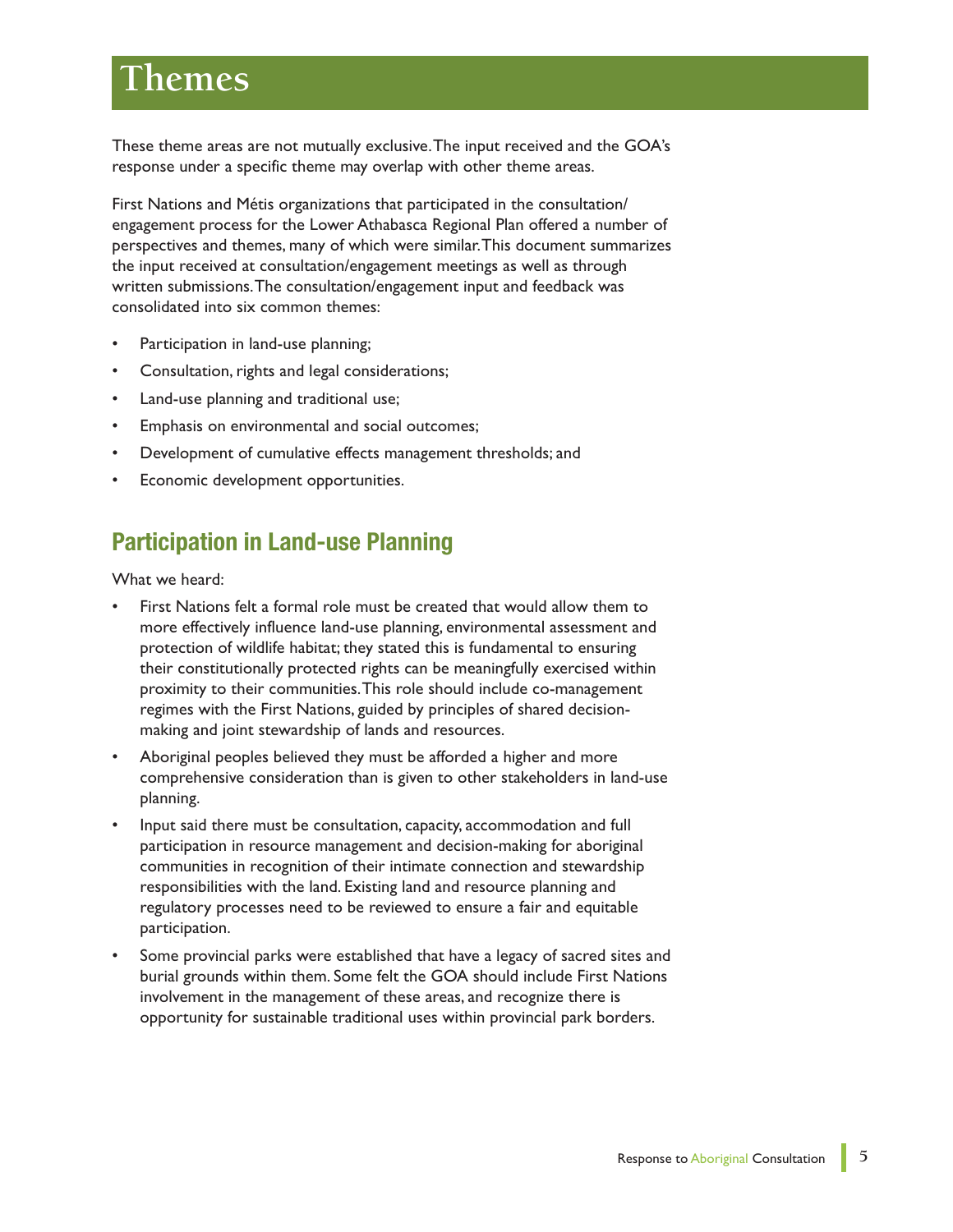## **Themes**

These theme areas are not mutually exclusive.The input received and the GOA's response under a specific theme may overlap with other theme areas.

First Nations and Métis organizations that participated in the consultation/ engagement process for the Lower Athabasca Regional Plan offered a number of perspectives and themes, many of which were similar.This document summarizes the input received at consultation/engagement meetings as well as through written submissions.The consultation/engagement input and feedback was consolidated into six common themes:

- Participation in land-use planning;
- Consultation, rights and legal considerations;
- Land-use planning and traditional use;
- Emphasis on environmental and social outcomes;
- Development of cumulative effects management thresholds; and
- Economic development opportunities.

### **Participation in Land-use Planning**

- First Nations felt a formal role must be created that would allow them to more effectively influence land-use planning, environmental assessment and protection of wildlife habitat; they stated this is fundamental to ensuring their constitutionally protected rights can be meaningfully exercised within proximity to their communities.This role should include co-management regimes with the First Nations, guided by principles of shared decisionmaking and joint stewardship of lands and resources.
- Aboriginal peoples believed they must be afforded a higher and more comprehensive consideration than is given to other stakeholders in land-use planning.
- Input said there must be consultation, capacity, accommodation and full participation in resource management and decision-making for aboriginal communities in recognition of their intimate connection and stewardship responsibilities with the land. Existing land and resource planning and regulatory processes need to be reviewed to ensure a fair and equitable participation.
- Some provincial parks were established that have a legacy of sacred sites and burial grounds within them. Some felt the GOA should include First Nations involvement in the management of these areas, and recognize there is opportunity for sustainable traditional uses within provincial park borders.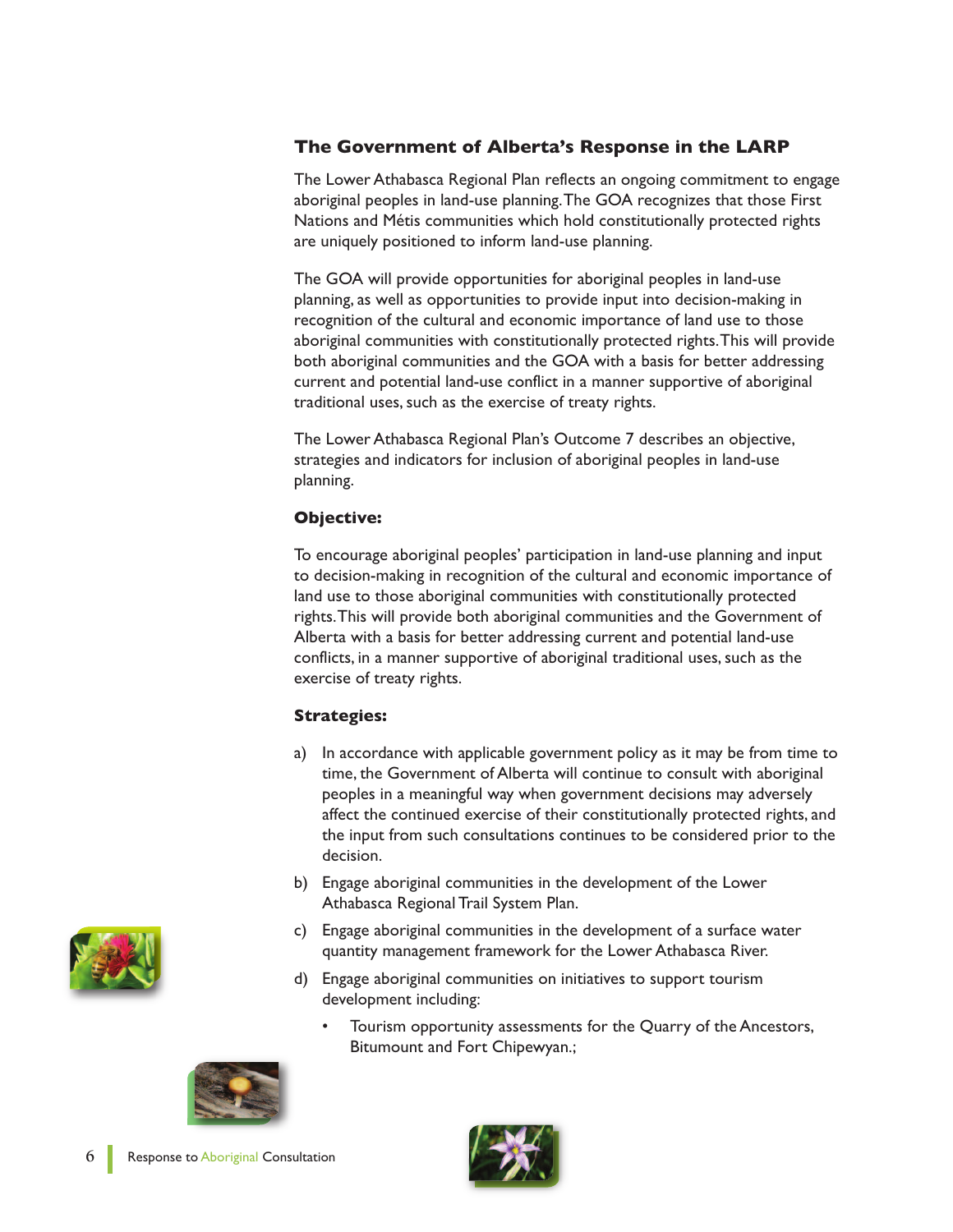The Lower Athabasca Regional Plan reflects an ongoing commitment to engage aboriginal peoples in land-use planning.The GOA recognizes that those First Nations and Métis communities which hold constitutionally protected rights are uniquely positioned to inform land-use planning.

The GOA will provide opportunities for aboriginal peoples in land-use planning, as well as opportunities to provide input into decision-making in recognition of the cultural and economic importance of land use to those aboriginal communities with constitutionally protected rights.This will provide both aboriginal communities and the GOA with a basis for better addressing current and potential land-use conflict in a manner supportive of aboriginal traditional uses, such as the exercise of treaty rights.

The Lower Athabasca Regional Plan's Outcome 7 describes an objective, strategies and indicators for inclusion of aboriginal peoples in land-use planning.

#### **Objective:**

To encourage aboriginal peoples' participation in land-use planning and input to decision-making in recognition of the cultural and economic importance of land use to those aboriginal communities with constitutionally protected rights.This will provide both aboriginal communities and the Government of Alberta with a basis for better addressing current and potential land-use conflicts, in a manner supportive of aboriginal traditional uses, such as the exercise of treaty rights.

#### **Strategies:**

- a) In accordance with applicable government policy as it may be from time to time, the Government of Alberta will continue to consult with aboriginal peoples in a meaningful way when government decisions may adversely affect the continued exercise of their constitutionally protected rights, and the input from such consultations continues to be considered prior to the decision.
- b) Engage aboriginal communities in the development of the Lower Athabasca Regional Trail System Plan.
- c) Engage aboriginal communities in the development of a surface water quantity management framework for the Lower Athabasca River.
- d) Engage aboriginal communities on initiatives to support tourism development including:
	- Tourism opportunity assessments for the Quarry of the Ancestors, Bitumount and Fort Chipewyan.;





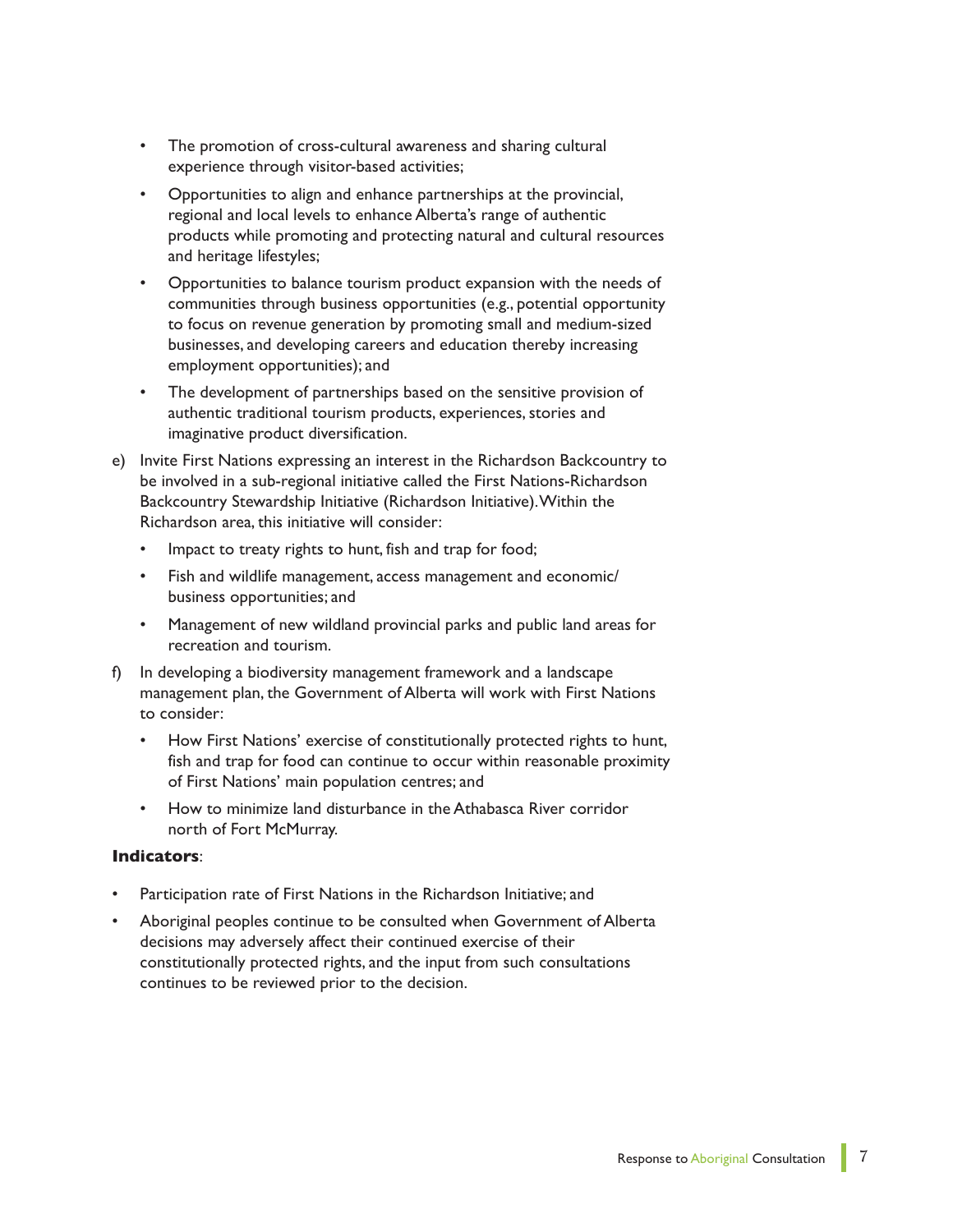- The promotion of cross-cultural awareness and sharing cultural experience through visitor-based activities;
- Opportunities to align and enhance partnerships at the provincial, regional and local levels to enhance Alberta's range of authentic products while promoting and protecting natural and cultural resources and heritage lifestyles;
- Opportunities to balance tourism product expansion with the needs of communities through business opportunities (e.g., potential opportunity to focus on revenue generation by promoting small and medium-sized businesses, and developing careers and education thereby increasing employment opportunities); and
- The development of partnerships based on the sensitive provision of authentic traditional tourism products, experiences, stories and imaginative product diversification.
- e) Invite First Nations expressing an interest in the Richardson Backcountry to be involved in a sub-regional initiative called the First Nations-Richardson Backcountry Stewardship Initiative (Richardson Initiative).Within the Richardson area, this initiative will consider:
	- Impact to treaty rights to hunt, fish and trap for food;
	- Fish and wildlife management, access management and economic/ business opportunities; and
	- Management of new wildland provincial parks and public land areas for recreation and tourism.
- f) In developing a biodiversity management framework and a landscape management plan, the Government of Alberta will work with First Nations to consider:
	- How First Nations' exercise of constitutionally protected rights to hunt, fish and trap for food can continue to occur within reasonable proximity of First Nations' main population centres; and
	- How to minimize land disturbance in the Athabasca River corridor north of Fort McMurray.

#### **Indicators**:

- Participation rate of First Nations in the Richardson Initiative; and
- Aboriginal peoples continue to be consulted when Government of Alberta decisions may adversely affect their continued exercise of their constitutionally protected rights, and the input from such consultations continues to be reviewed prior to the decision.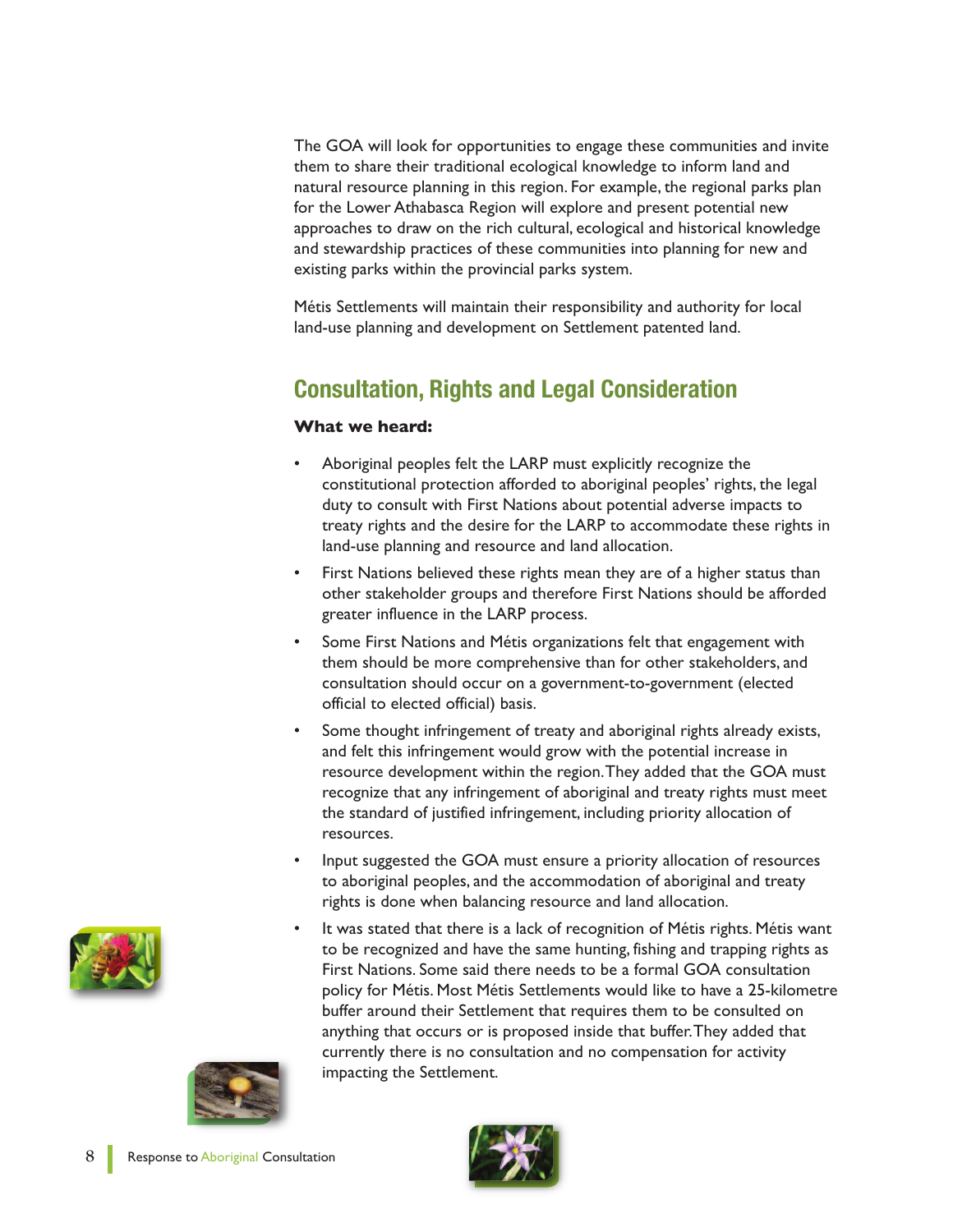The GOA will look for opportunities to engage these communities and invite them to share their traditional ecological knowledge to inform land and natural resource planning in this region. For example, the regional parks plan for the Lower Athabasca Region will explore and present potential new approaches to draw on the rich cultural, ecological and historical knowledge and stewardship practices of these communities into planning for new and existing parks within the provincial parks system.

Métis Settlements will maintain their responsibility and authority for local land-use planning and development on Settlement patented land.

## **Consultation, Rights and Legal Consideration**

- Aboriginal peoples felt the LARP must explicitly recognize the constitutional protection afforded to aboriginal peoples' rights, the legal duty to consult with First Nations about potential adverse impacts to treaty rights and the desire for the LARP to accommodate these rights in land-use planning and resource and land allocation.
- First Nations believed these rights mean they are of a higher status than other stakeholder groups and therefore First Nations should be afforded greater influence in the LARP process.
- Some First Nations and Métis organizations felt that engagement with them should be more comprehensive than for other stakeholders, and consultation should occur on a government-to-government (elected official to elected official) basis.
- Some thought infringement of treaty and aboriginal rights already exists, and felt this infringement would grow with the potential increase in resource development within the region.They added that the GOA must recognize that any infringement of aboriginal and treaty rights must meet the standard of justified infringement, including priority allocation of resources.
- Input suggested the GOA must ensure a priority allocation of resources to aboriginal peoples, and the accommodation of aboriginal and treaty rights is done when balancing resource and land allocation.
- It was stated that there is a lack of recognition of Métis rights. Métis want to be recognized and have the same hunting, fishing and trapping rights as First Nations. Some said there needs to be a formal GOA consultation policy for Métis. Most Métis Settlements would like to have a 25-kilometre buffer around their Settlement that requires them to be consulted on anything that occurs or is proposed inside that buffer.They added that currently there is no consultation and no compensation for activity impacting the Settlement.





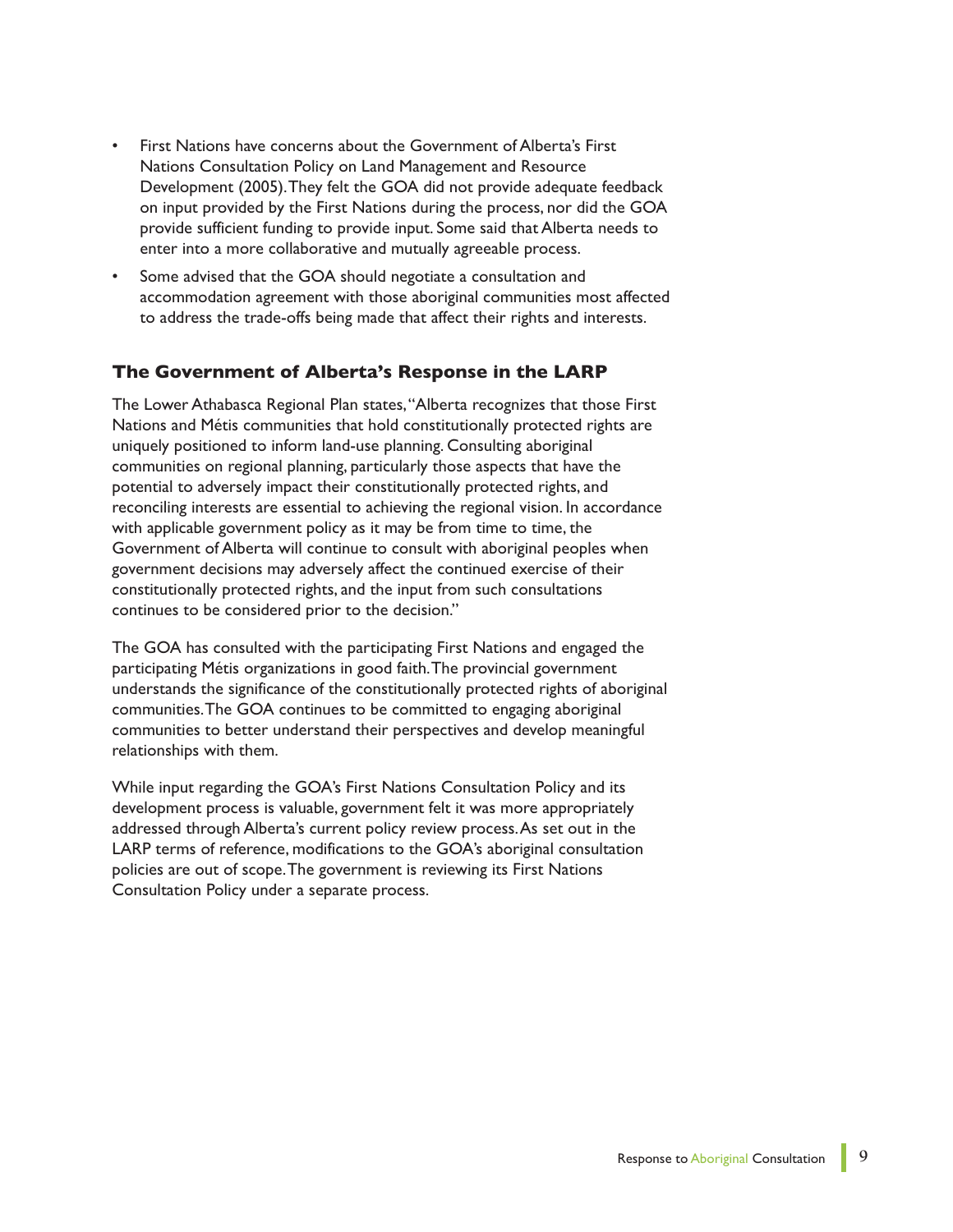- First Nations have concerns about the Government of Alberta's First Nations Consultation Policy on Land Management and Resource Development (2005).They felt the GOA did not provide adequate feedback on input provided by the First Nations during the process, nor did the GOA provide sufficient funding to provide input. Some said that Alberta needs to enter into a more collaborative and mutually agreeable process.
- Some advised that the GOA should negotiate a consultation and accommodation agreement with those aboriginal communities most affected to address the trade-offs being made that affect their rights and interests.

The Lower Athabasca Regional Plan states,"Alberta recognizes that those First Nations and Métis communities that hold constitutionally protected rights are uniquely positioned to inform land-use planning. Consulting aboriginal communities on regional planning, particularly those aspects that have the potential to adversely impact their constitutionally protected rights, and reconciling interests are essential to achieving the regional vision. In accordance with applicable government policy as it may be from time to time, the Government of Alberta will continue to consult with aboriginal peoples when government decisions may adversely affect the continued exercise of their constitutionally protected rights, and the input from such consultations continues to be considered prior to the decision."

The GOA has consulted with the participating First Nations and engaged the participating Métis organizations in good faith.The provincial government understands the significance of the constitutionally protected rights of aboriginal communities.The GOA continues to be committed to engaging aboriginal communities to better understand their perspectives and develop meaningful relationships with them.

While input regarding the GOA's First Nations Consultation Policy and its development process is valuable, government felt it was more appropriately addressed through Alberta's current policy review process.As set out in the LARP terms of reference, modifications to the GOA's aboriginal consultation policies are out of scope.The government is reviewing its First Nations Consultation Policy under a separate process.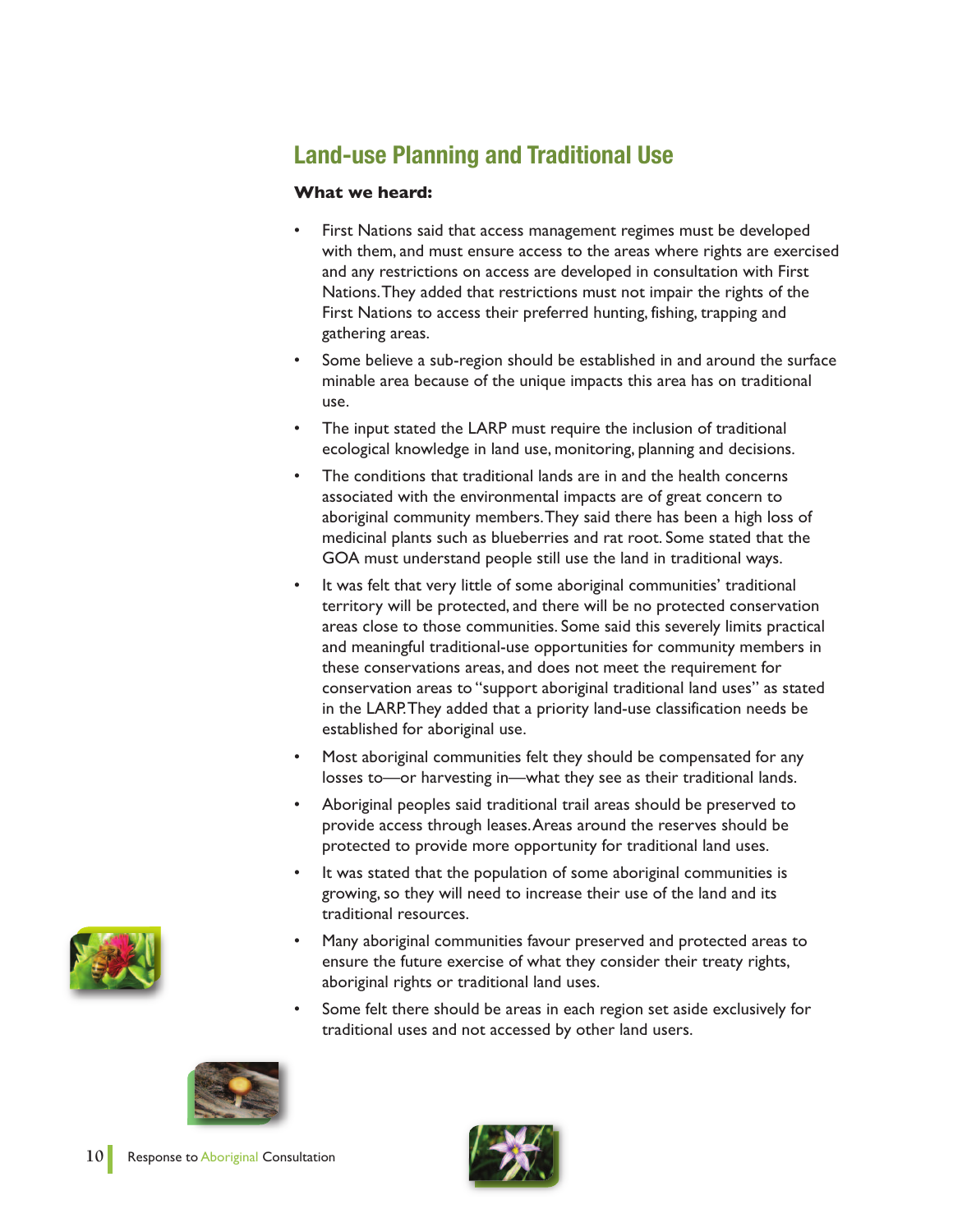## **Land-use Planning and Traditional Use**

- First Nations said that access management regimes must be developed with them, and must ensure access to the areas where rights are exercised and any restrictions on access are developed in consultation with First Nations.They added that restrictions must not impair the rights of the First Nations to access their preferred hunting, fishing, trapping and gathering areas.
- Some believe a sub-region should be established in and around the surface minable area because of the unique impacts this area has on traditional use.
- The input stated the LARP must require the inclusion of traditional ecological knowledge in land use, monitoring, planning and decisions.
- The conditions that traditional lands are in and the health concerns associated with the environmental impacts are of great concern to aboriginal community members.They said there has been a high loss of medicinal plants such as blueberries and rat root. Some stated that the GOA must understand people still use the land in traditional ways.
- It was felt that very little of some aboriginal communities' traditional territory will be protected, and there will be no protected conservation areas close to those communities. Some said this severely limits practical and meaningful traditional-use opportunities for community members in these conservations areas, and does not meet the requirement for conservation areas to "support aboriginal traditional land uses" as stated in the LARP.They added that a priority land-use classification needs be established for aboriginal use.
- Most aboriginal communities felt they should be compensated for any losses to—or harvesting in—what they see as their traditional lands.
- Aboriginal peoples said traditional trail areas should be preserved to provide access through leases.Areas around the reserves should be protected to provide more opportunity for traditional land uses.
- It was stated that the population of some aboriginal communities is growing,so they will need to increase their use of the land and its traditional resources.
- Many aboriginal communities favour preserved and protected areas to ensure the future exercise of what they consider their treaty rights, aboriginal rights or traditional land uses.
- Some felt there should be areas in each region set aside exclusively for traditional uses and not accessed by other land users.



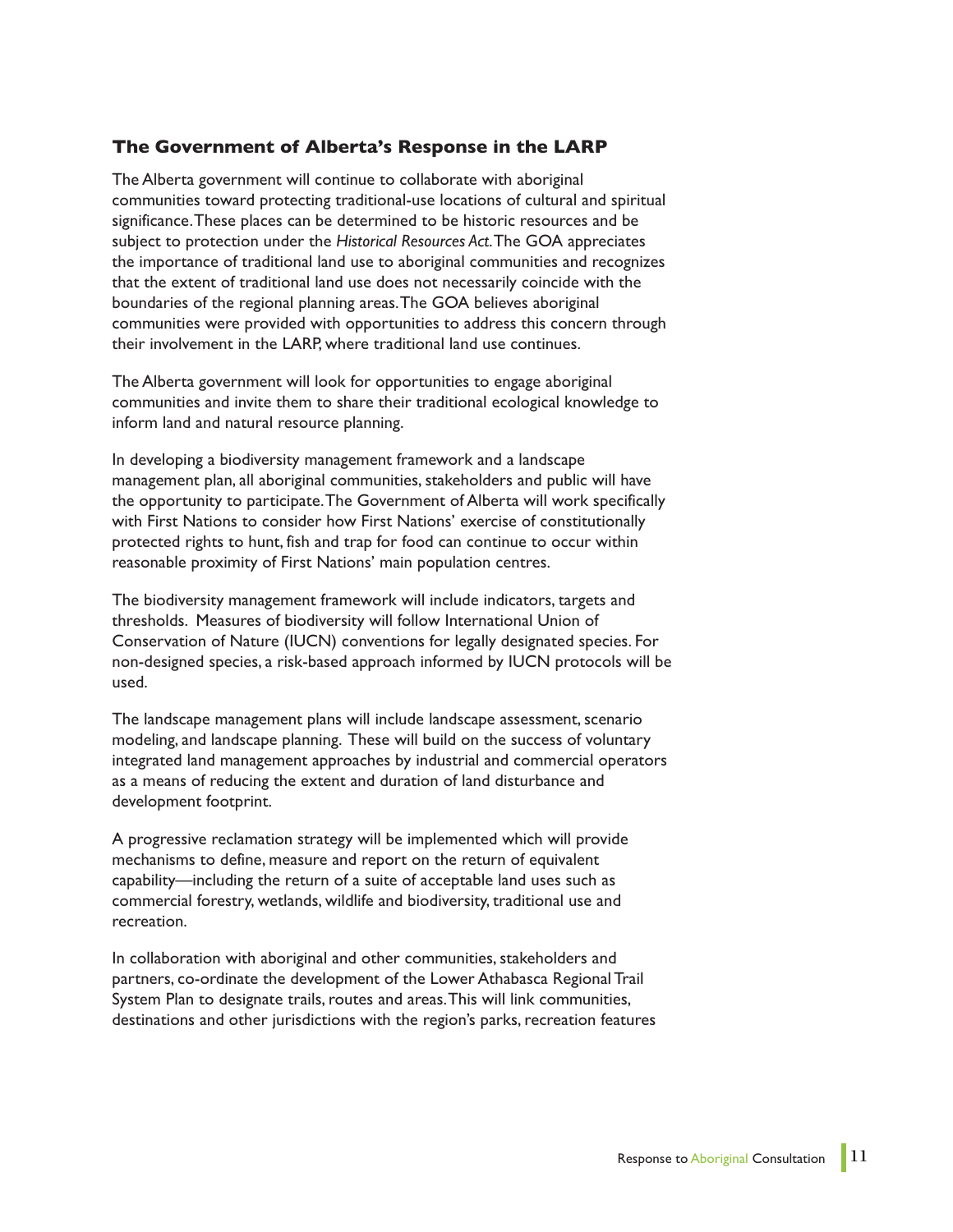The Alberta government will continue to collaborate with aboriginal communities toward protecting traditional-use locations of cultural and spiritual significance.These places can be determined to be historic resources and be subject to protection under the *Historical Resources Act*.The GOA appreciates the importance of traditional land use to aboriginal communities and recognizes that the extent of traditional land use does not necessarily coincide with the boundaries of the regional planning areas.The GOA believes aboriginal communities were provided with opportunities to address this concern through their involvement in the LARP, where traditional land use continues.

The Alberta government will look for opportunities to engage aboriginal communities and invite them to share their traditional ecological knowledge to inform land and natural resource planning.

In developing a biodiversity management framework and a landscape management plan, all aboriginal communities, stakeholders and public will have the opportunity to participate.The Government of Alberta will work specifically with First Nations to consider how First Nations' exercise of constitutionally protected rights to hunt, fish and trap for food can continue to occur within reasonable proximity of First Nations' main population centres.

The biodiversity management framework will include indicators, targets and thresholds. Measures of biodiversity will follow International Union of Conservation of Nature (IUCN) conventions for legally designated species. For non-designed species, a risk-based approach informed by IUCN protocols will be used.

The landscape management plans will include landscape assessment, scenario modeling, and landscape planning. These will build on the success of voluntary integrated land management approaches by industrial and commercial operators as a means of reducing the extent and duration of land disturbance and development footprint.

A progressive reclamation strategy will be implemented which will provide mechanisms to define, measure and report on the return of equivalent capability—including the return of a suite of acceptable land uses such as commercial forestry, wetlands, wildlife and biodiversity, traditional use and recreation.

In collaboration with aboriginal and other communities, stakeholders and partners, co-ordinate the development of the Lower Athabasca Regional Trail System Plan to designate trails, routes and areas. This will link communities, destinations and other jurisdictions with the region's parks, recreation features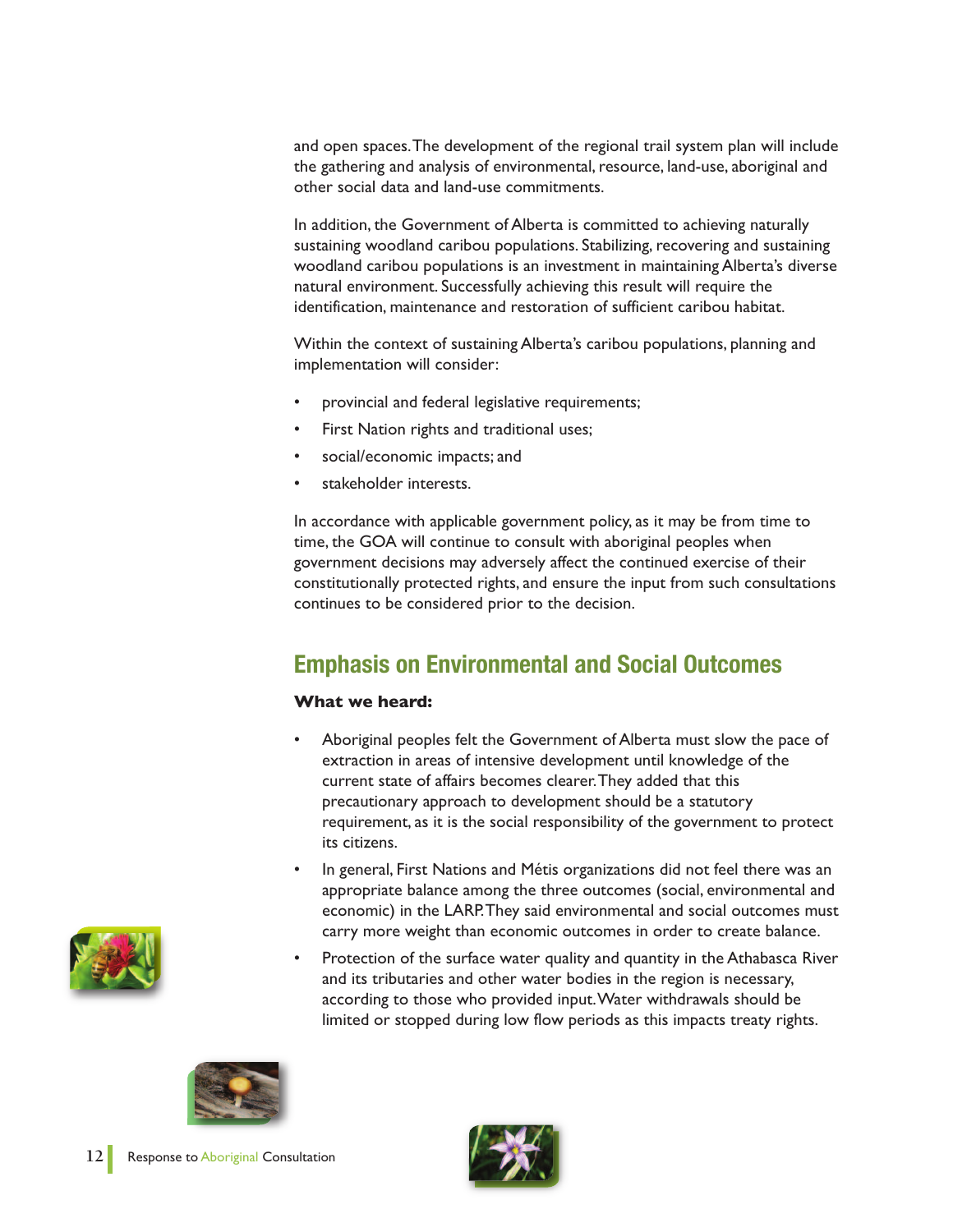and open spaces.The development of the regional trail system plan will include the gathering and analysis of environmental, resource, land-use, aboriginal and other social data and land-use commitments.

In addition, the Government of Alberta is committed to achieving naturally sustaining woodland caribou populations. Stabilizing, recovering and sustaining woodland caribou populations is an investment in maintaining Alberta's diverse natural environment. Successfully achieving this result will require the identification, maintenance and restoration of sufficient caribou habitat.

Within the context of sustaining Alberta's caribou populations, planning and implementation will consider:

- provincial and federal legislative requirements;
- First Nation rights and traditional uses;
- social/economic impacts; and
- stakeholder interests.

In accordance with applicable government policy, as it may be from time to time, the GOA will continue to consult with aboriginal peoples when government decisions may adversely affect the continued exercise of their constitutionally protected rights, and ensure the input from such consultations continues to be considered prior to the decision.

### **Emphasis on Environmental and Social Outcomes**

- Aboriginal peoples felt the Government of Alberta must slow the pace of extraction in areas of intensive development until knowledge of the current state of affairs becomes clearer.They added that this precautionary approach to development should be a statutory requirement, as it is the social responsibility of the government to protect its citizens.
- In general, First Nations and Métis organizations did not feel there was an appropriate balance among the three outcomes (social, environmental and economic) in the LARP.They said environmental and social outcomes must carry more weight than economic outcomes in order to create balance.
- Protection of the surface water quality and quantity in the Athabasca River and its tributaries and other water bodies in the region is necessary, according to those who provided input.Water withdrawals should be limited or stopped during low flow periods as this impacts treaty rights.



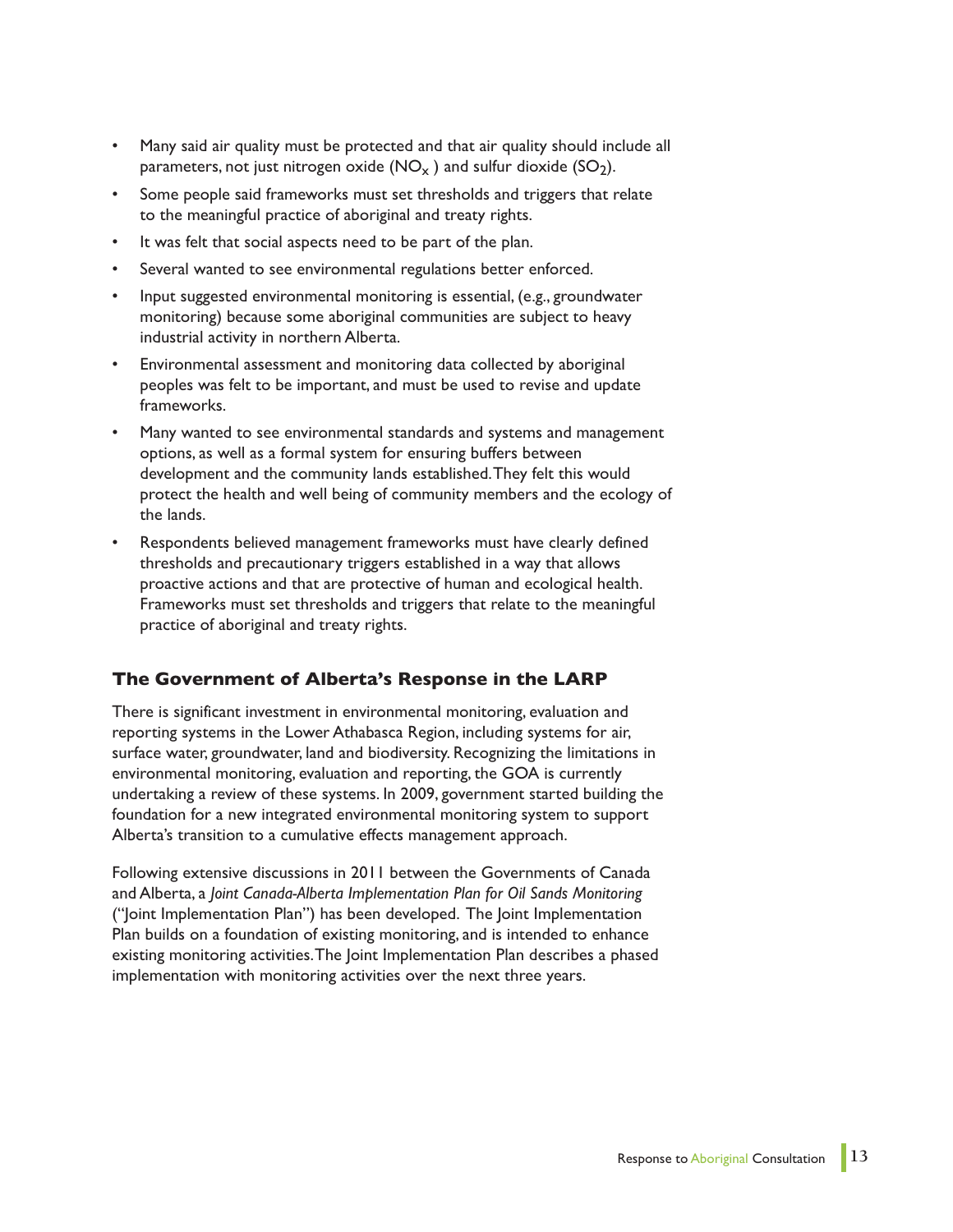- Many said air quality must be protected and that air quality should include all parameters, not just nitrogen oxide  $(NO_x)$  and sulfur dioxide  $(SO_2)$ .
- Some people said frameworks must set thresholds and triggers that relate to the meaningful practice of aboriginal and treaty rights.
- It was felt that social aspects need to be part of the plan.
- Several wanted to see environmental regulations better enforced.
- Input suggested environmental monitoring is essential, (e.g., groundwater monitoring) because some aboriginal communities are subject to heavy industrial activity in northern Alberta.
- Environmental assessment and monitoring data collected by aboriginal peoples was felt to be important, and must be used to revise and update frameworks.
- Many wanted to see environmental standards and systems and management options, as well as a formal system for ensuring buffers between development and the community lands established.They felt this would protect the health and well being of community members and the ecology of the lands.
- Respondents believed management frameworks must have clearly defined thresholds and precautionary triggers established in a way that allows proactive actions and that are protective of human and ecological health. Frameworks must set thresholds and triggers that relate to the meaningful practice of aboriginal and treaty rights.

There is significant investment in environmental monitoring, evaluation and reporting systems in the Lower Athabasca Region, including systems for air, surface water, groundwater, land and biodiversity. Recognizing the limitations in environmental monitoring, evaluation and reporting, the GOA is currently undertaking a review of these systems. In 2009, government started building the foundation for a new integrated environmental monitoring system to support Alberta's transition to a cumulative effects management approach.

Following extensive discussions in 2011 between the Governments of Canada and Alberta, a *Joint Canada-Alberta Implementation Plan for Oil Sands Monitoring* ("Joint Implementation Plan") has been developed. The Joint Implementation Plan builds on a foundation of existing monitoring, and is intended to enhance existing monitoring activities.The Joint Implementation Plan describes a phased implementation with monitoring activities over the next three years.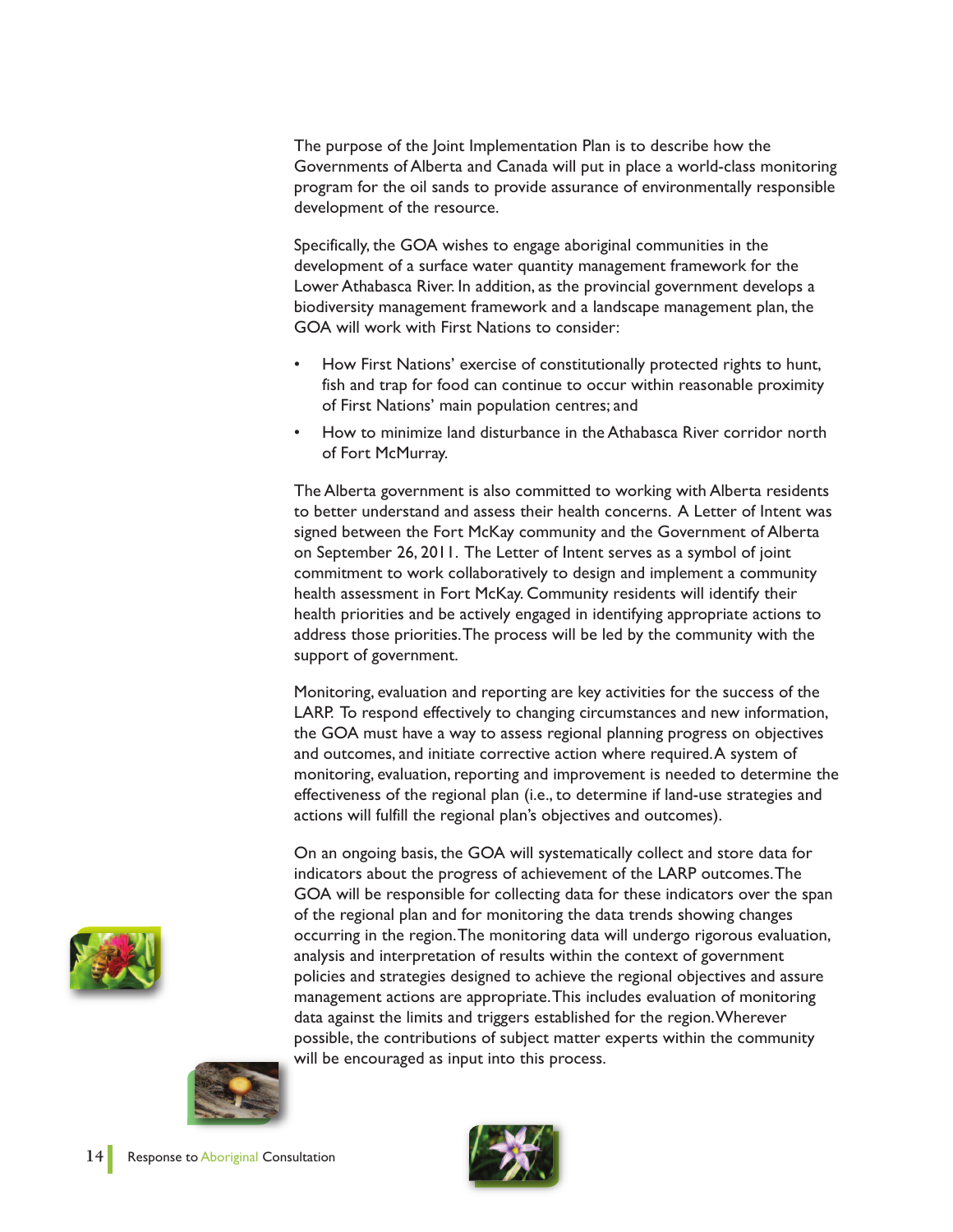The purpose of the Joint Implementation Plan is to describe how the Governments of Alberta and Canada will put in place a world-class monitoring program for the oil sands to provide assurance of environmentally responsible development of the resource.

Specifically, the GOA wishes to engage aboriginal communities in the development of a surface water quantity management framework for the Lower Athabasca River. In addition, as the provincial government develops a biodiversity management framework and a landscape management plan, the GOA will work with First Nations to consider:

- How First Nations' exercise of constitutionally protected rights to hunt, fish and trap for food can continue to occur within reasonable proximity of First Nations' main population centres; and
- How to minimize land disturbance in the Athabasca River corridor north of Fort McMurray.

The Alberta government is also committed to working with Alberta residents to better understand and assess their health concerns. A Letter of Intent was signed between the Fort McKay community and the Government of Alberta on September 26, 2011. The Letter of Intent serves as a symbol of joint commitment to work collaboratively to design and implement a community health assessment in Fort McKay. Community residents will identify their health priorities and be actively engaged in identifying appropriate actions to address those priorities.The process will be led by the community with the support of government.

Monitoring, evaluation and reporting are key activities for the success of the LARP. To respond effectively to changing circumstances and new information, the GOA must have a way to assess regional planning progress on objectives and outcomes, and initiate corrective action where required.A system of monitoring, evaluation, reporting and improvement is needed to determine the effectiveness of the regional plan (i.e., to determine if land-use strategies and actions will fulfill the regional plan's objectives and outcomes).

On an ongoing basis, the GOA will systematically collect and store data for indicators about the progress of achievement of the LARP outcomes.The GOA will be responsible for collecting data for these indicators over the span of the regional plan and for monitoring the data trends showing changes occurring in the region.The monitoring data will undergo rigorous evaluation, analysis and interpretation of results within the context of government policies and strategies designed to achieve the regional objectives and assure management actions are appropriate.This includes evaluation of monitoring data against the limits and triggers established for the region.Wherever possible, the contributions of subject matter experts within the community will be encouraged as input into this process.



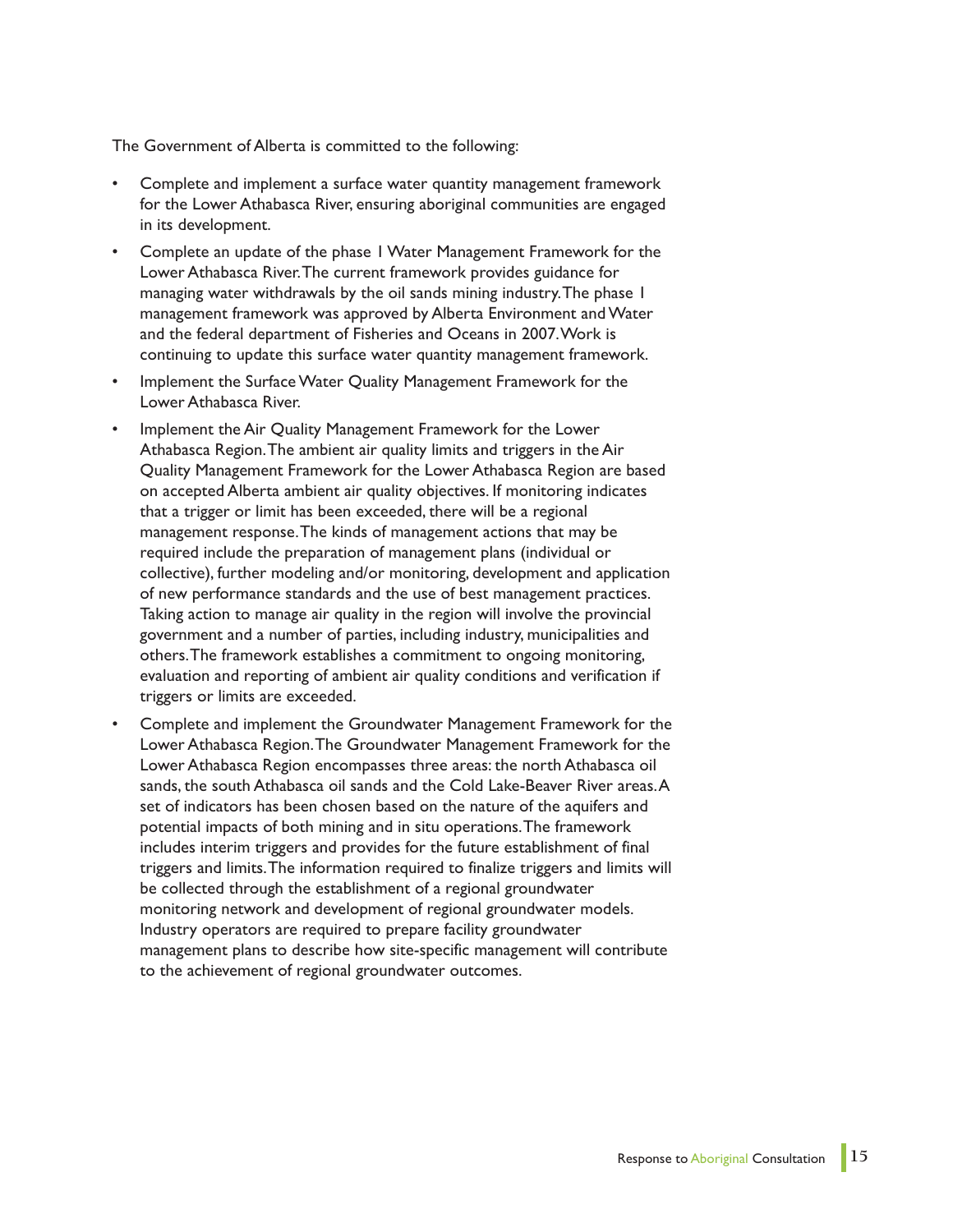The Government of Alberta is committed to the following:

- Complete and implement a surface water quantity management framework for the Lower Athabasca River, ensuring aboriginal communities are engaged in its development.
- Complete an update of the phase 1Water Management Framework for the Lower Athabasca River.The current framework provides guidance for managing water withdrawals by the oil sands mining industry.The phase 1 management framework was approved by Alberta Environment andWater and the federal department of Fisheries and Oceans in 2007.Work is continuing to update this surface water quantity management framework.
- Implement the Surface Water Quality Management Framework for the Lower Athabasca River.
- Implement the Air Quality Management Framework for the Lower Athabasca Region.The ambient air quality limits and triggers in the Air Quality Management Framework for the Lower Athabasca Region are based on accepted Alberta ambient air quality objectives. If monitoring indicates that a trigger or limit has been exceeded, there will be a regional management response.The kinds of management actions that may be required include the preparation of management plans (individual or collective), further modeling and/or monitoring, development and application of new performance standards and the use of best management practices. Taking action to manage air quality in the region will involve the provincial government and a number of parties, including industry, municipalities and others.The framework establishes a commitment to ongoing monitoring, evaluation and reporting of ambient air quality conditions and verification if triggers or limits are exceeded.
- Complete and implement the Groundwater Management Framework for the Lower Athabasca Region.The Groundwater Management Framework for the Lower Athabasca Region encompasses three areas: the north Athabasca oil sands, the south Athabasca oil sands and the Cold Lake-Beaver River areas.A set of indicators has been chosen based on the nature of the aquifers and potential impacts of both mining and in situ operations.The framework includes interim triggers and provides for the future establishment of final triggers and limits.The information required to finalize triggers and limits will be collected through the establishment of a regional groundwater monitoring network and development of regional groundwater models. Industry operators are required to prepare facility groundwater management plans to describe how site-specific management will contribute to the achievement of regional groundwater outcomes.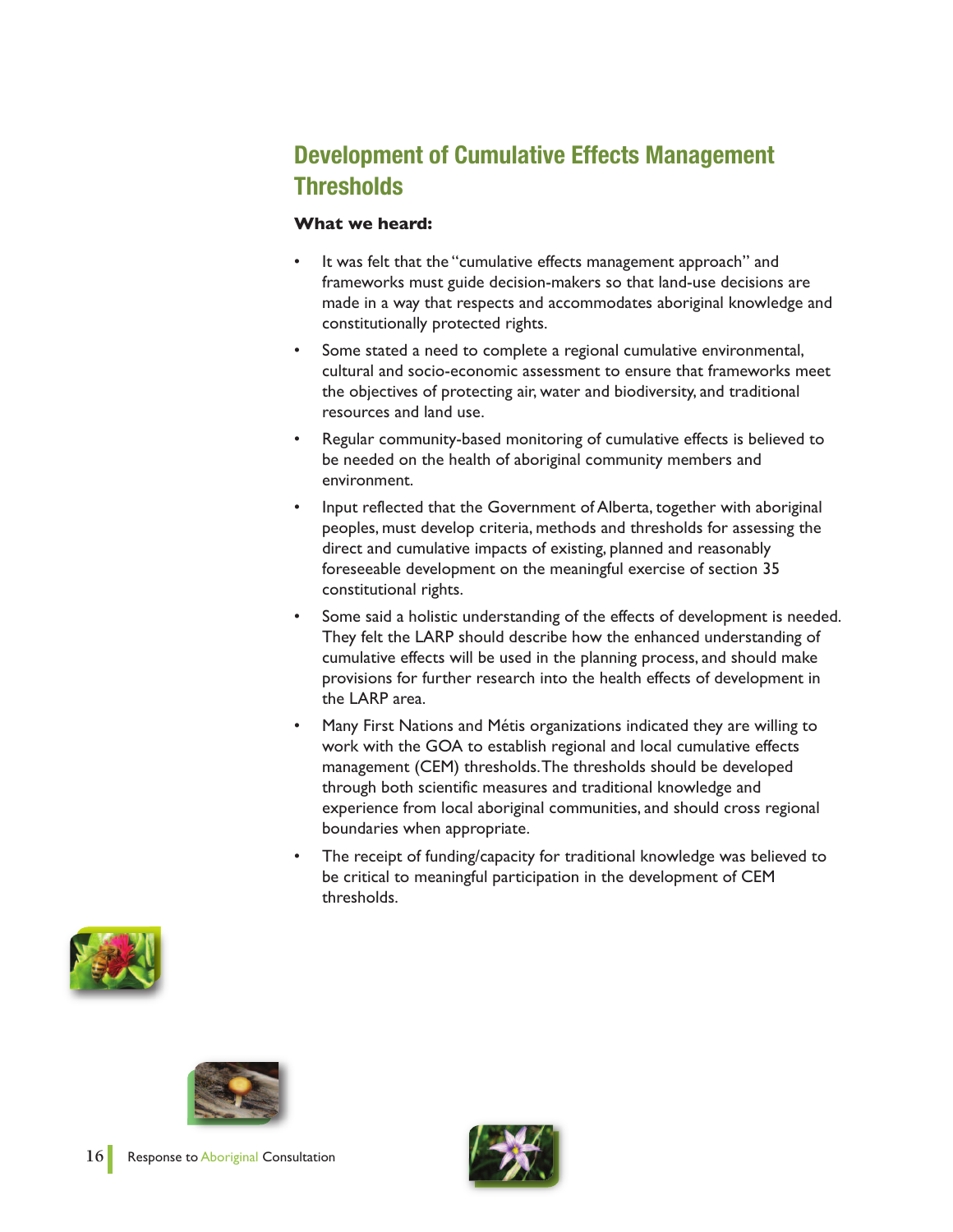## **Development of Cumulative Effects Management Thresholds**

- It was felt that the "cumulative effects management approach" and frameworks must guide decision-makers so that land-use decisions are made in a way that respects and accommodates aboriginal knowledge and constitutionally protected rights.
- Some stated a need to complete a regional cumulative environmental, cultural and socio-economic assessment to ensure that frameworks meet the objectives of protecting air, water and biodiversity, and traditional resources and land use.
- Regular community-based monitoring of cumulative effects is believed to be needed on the health of aboriginal community members and environment.
- Input reflected that the Government of Alberta, together with aboriginal peoples, must develop criteria, methods and thresholds for assessing the direct and cumulative impacts of existing, planned and reasonably foreseeable development on the meaningful exercise of section 35 constitutional rights.
- Some said a holistic understanding of the effects of development is needed. They felt the LARP should describe how the enhanced understanding of cumulative effects will be used in the planning process, and should make provisions for further research into the health effects of development in the LARP area.
- Many First Nations and Métis organizations indicated they are willing to work with the GOA to establish regional and local cumulative effects management (CEM) thresholds.The thresholds should be developed through both scientific measures and traditional knowledge and experience from local aboriginal communities, and should cross regional boundaries when appropriate.
- The receipt of funding/capacity for traditional knowledge was believed to be critical to meaningful participation in the development of CEM thresholds.





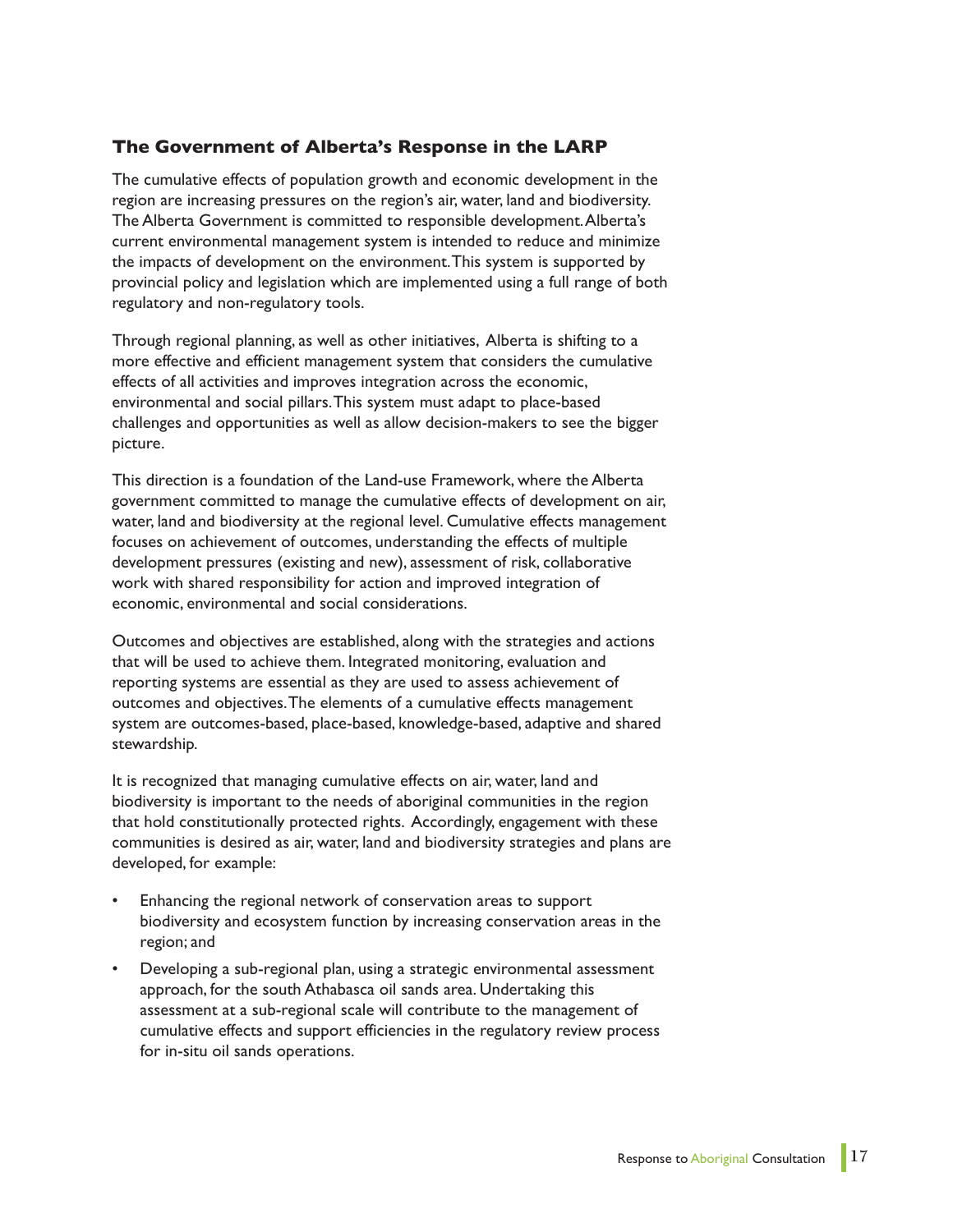The cumulative effects of population growth and economic development in the region are increasing pressures on the region's air, water, land and biodiversity. The Alberta Government is committed to responsible development.Alberta's current environmental management system is intended to reduce and minimize the impacts of development on the environment.This system is supported by provincial policy and legislation which are implemented using a full range of both regulatory and non-regulatory tools.

Through regional planning, as well as other initiatives, Alberta is shifting to a more effective and efficient management system that considers the cumulative effects of all activities and improves integration across the economic, environmental and social pillars.This system must adapt to place-based challenges and opportunities as well as allow decision-makers to see the bigger picture.

This direction is a foundation of the Land-use Framework, where the Alberta government committed to manage the cumulative effects of development on air, water, land and biodiversity at the regional level. Cumulative effects management focuses on achievement of outcomes, understanding the effects of multiple development pressures (existing and new), assessment of risk, collaborative work with shared responsibility for action and improved integration of economic, environmental and social considerations.

Outcomes and objectives are established, along with the strategies and actions that will be used to achieve them. Integrated monitoring, evaluation and reporting systems are essential as they are used to assess achievement of outcomes and objectives.The elements of a cumulative effects management system are outcomes-based, place-based, knowledge-based, adaptive and shared stewardship.

It is recognized that managing cumulative effects on air, water, land and biodiversity is important to the needs of aboriginal communities in the region that hold constitutionally protected rights. Accordingly, engagement with these communities is desired as air, water, land and biodiversity strategies and plans are developed, for example:

- Enhancing the regional network of conservation areas to support biodiversity and ecosystem function by increasing conservation areas in the region; and
- Developing a sub-regional plan, using a strategic environmental assessment approach, for the south Athabasca oil sands area. Undertaking this assessment at a sub-regional scale will contribute to the management of cumulative effects and support efficiencies in the regulatory review process for in-situ oil sands operations.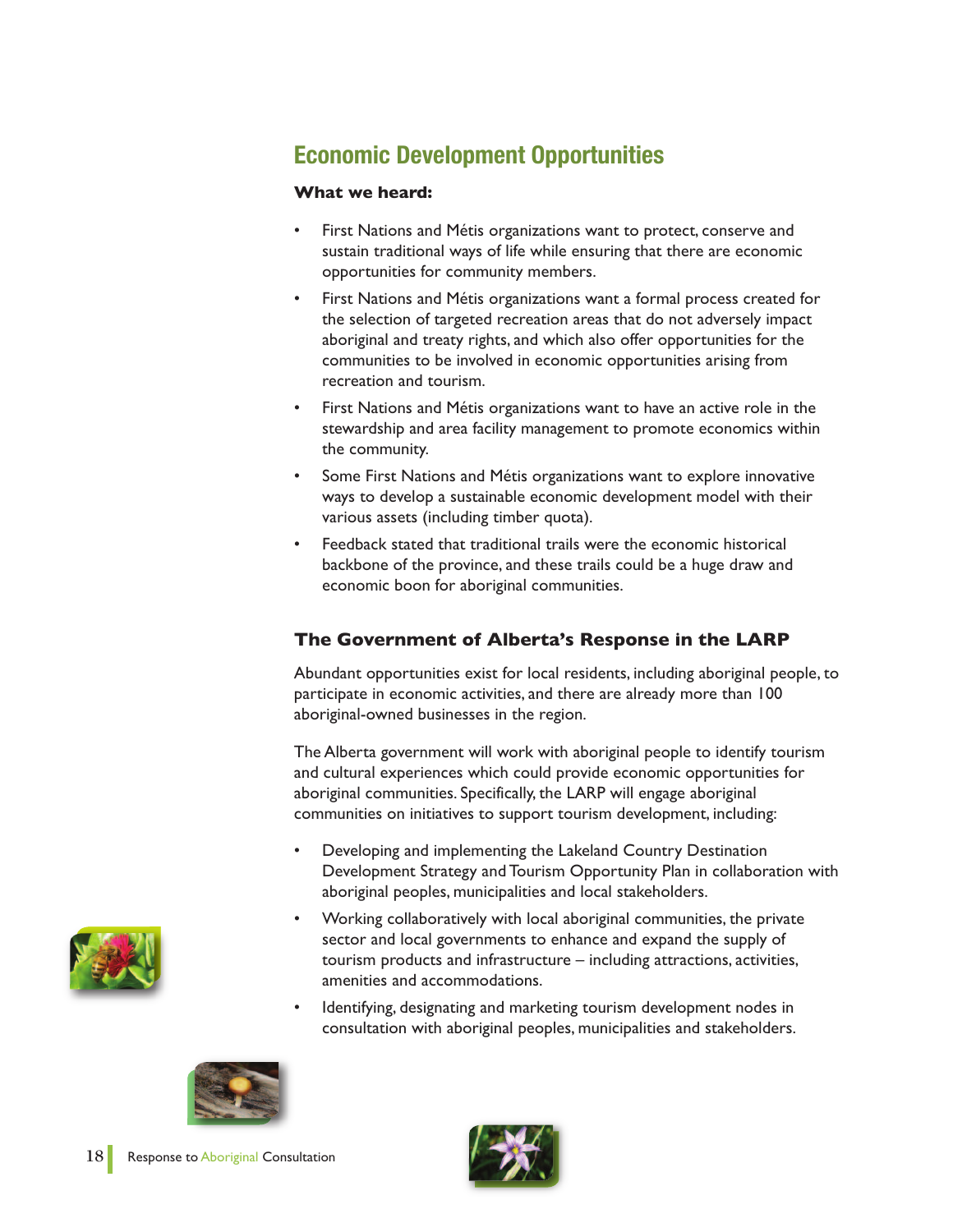## **Economic Development Opportunities**

#### **What we heard:**

- First Nations and Métis organizations want to protect, conserve and sustain traditional ways of life while ensuring that there are economic opportunities for community members.
- First Nations and Métis organizations want a formal process created for the selection of targeted recreation areas that do not adversely impact aboriginal and treaty rights, and which also offer opportunities for the communities to be involved in economic opportunities arising from recreation and tourism.
- First Nations and Métis organizations want to have an active role in the stewardship and area facility management to promote economics within the community.
- Some First Nations and Métis organizations want to explore innovative ways to develop a sustainable economic development model with their various assets (including timber quota).
- Feedback stated that traditional trails were the economic historical backbone of the province, and these trails could be a huge draw and economic boon for aboriginal communities.

#### **The Government of Alberta's Response in the LARP**

Abundant opportunities exist for local residents, including aboriginal people, to participate in economic activities, and there are already more than 100 aboriginal-owned businesses in the region.

The Alberta government will work with aboriginal people to identify tourism and cultural experiences which could provide economic opportunities for aboriginal communities. Specifically, the LARP will engage aboriginal communities on initiatives to support tourism development, including:

- Developing and implementing the Lakeland Country Destination Development Strategy and Tourism Opportunity Plan in collaboration with aboriginal peoples, municipalities and local stakeholders.
- Working collaboratively with local aboriginal communities, the private sector and local governments to enhance and expand the supply of tourism products and infrastructure – including attractions, activities, amenities and accommodations.
- Identifying, designating and marketing tourism development nodes in consultation with aboriginal peoples, municipalities and stakeholders.





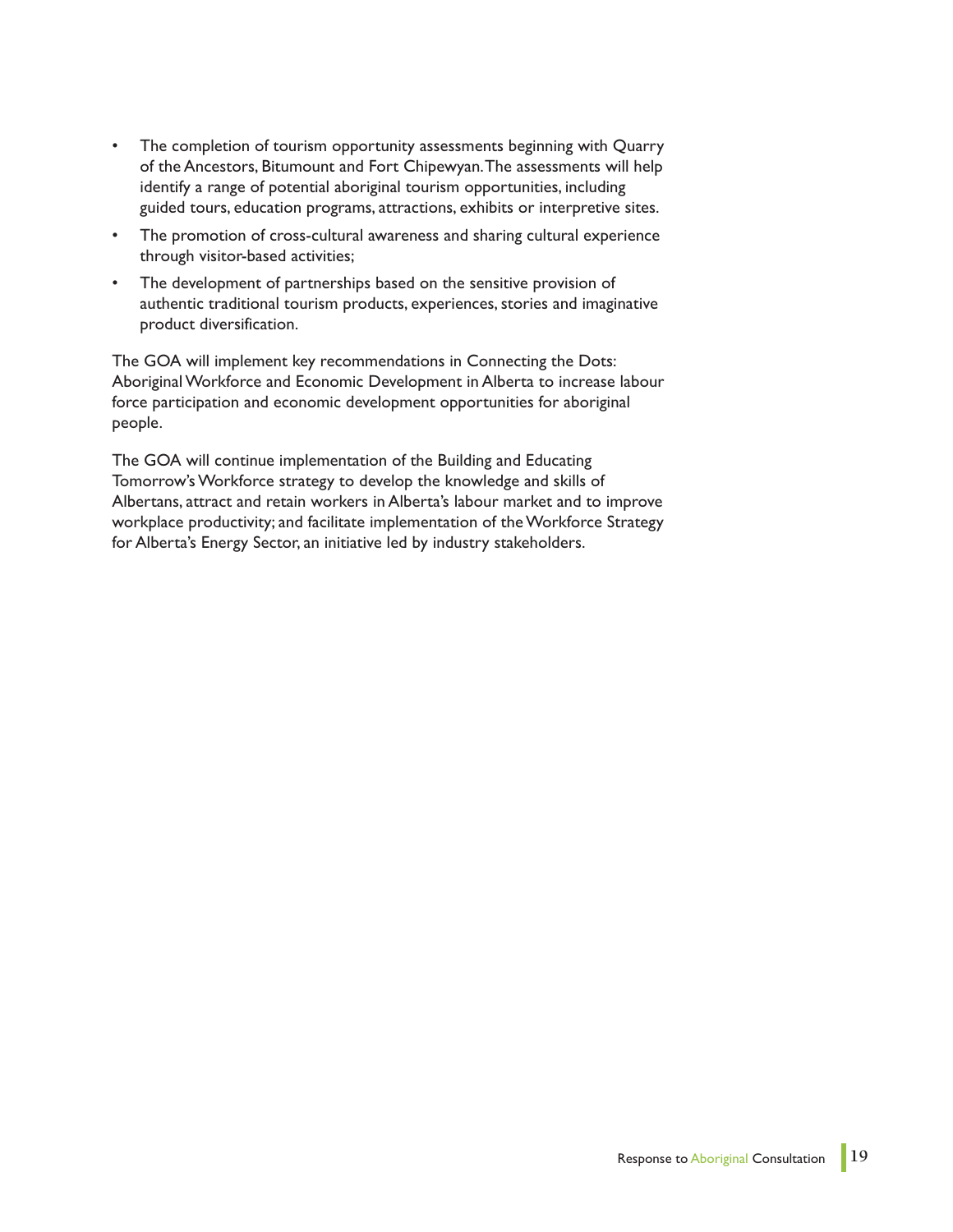- The completion of tourism opportunity assessments beginning with Quarry of the Ancestors, Bitumount and Fort Chipewyan.The assessments will help identify a range of potential aboriginal tourism opportunities, including guided tours, education programs, attractions, exhibits or interpretive sites.
- The promotion of cross-cultural awareness and sharing cultural experience through visitor-based activities;
- The development of partnerships based on the sensitive provision of authentic traditional tourism products, experiences, stories and imaginative product diversification.

The GOA will implement key recommendations in Connecting the Dots: AboriginalWorkforce and Economic Development in Alberta to increase labour force participation and economic development opportunities for aboriginal people.

The GOA will continue implementation of the Building and Educating Tomorrow's Workforce strategy to develop the knowledge and skills of Albertans, attract and retain workers in Alberta's labour market and to improve workplace productivity; and facilitate implementation of theWorkforce Strategy for Alberta's Energy Sector, an initiative led by industry stakeholders.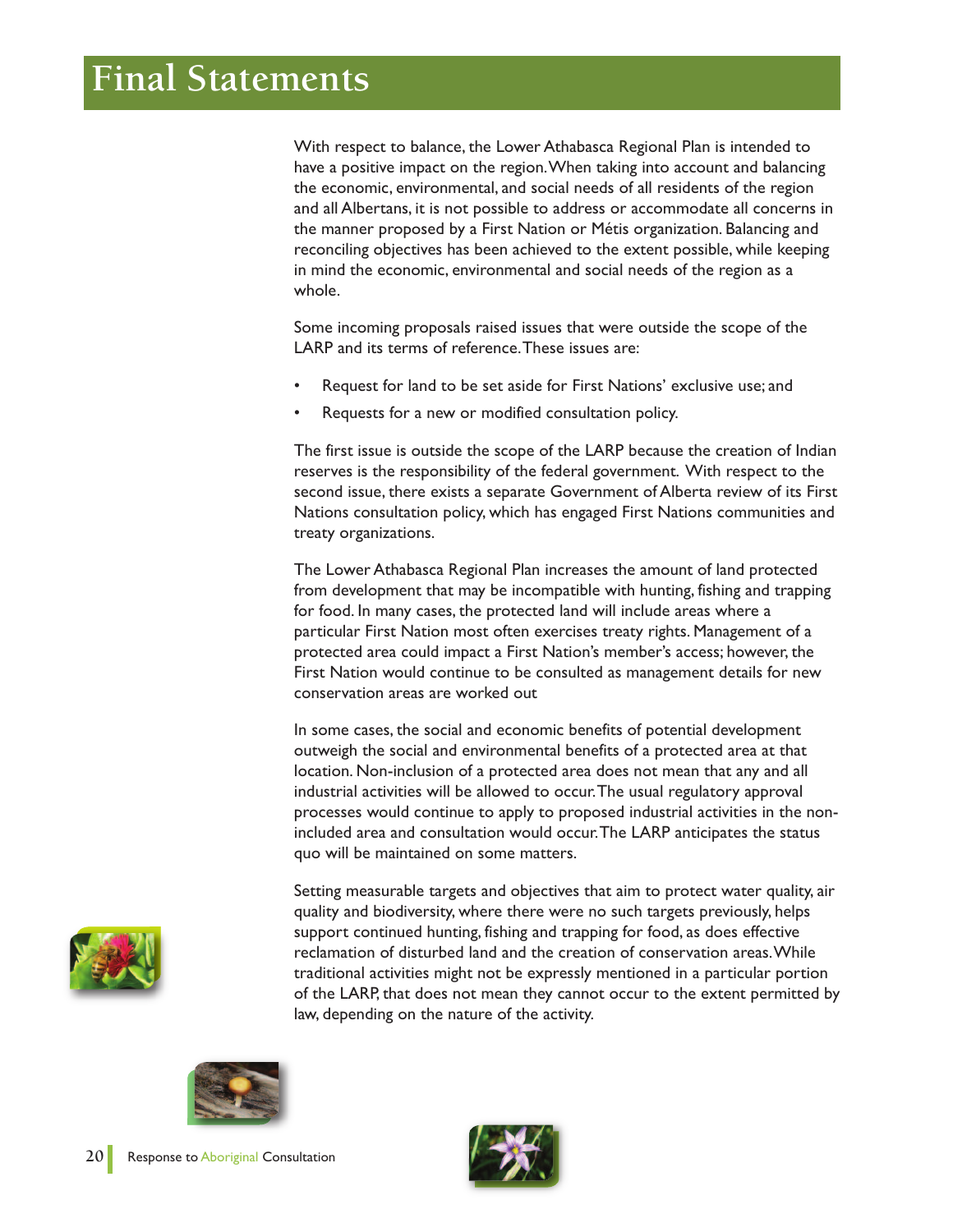## **Final Statements**

With respect to balance, the Lower Athabasca Regional Plan is intended to have a positive impact on the region.When taking into account and balancing the economic, environmental, and social needs of all residents of the region and all Albertans, it is not possible to address or accommodate all concerns in the manner proposed by a First Nation or Métis organization. Balancing and reconciling objectives has been achieved to the extent possible, while keeping in mind the economic, environmental and social needs of the region as a whole.

Some incoming proposals raised issues that were outside the scope of the LARP and its terms of reference.These issues are:

- Request for land to be set aside for First Nations' exclusive use; and
- Requests for a new or modified consultation policy.

The first issue is outside the scope of the LARP because the creation of Indian reserves is the responsibility of the federal government. With respect to the second issue, there exists a separate Government of Alberta review of its First Nations consultation policy, which has engaged First Nations communities and treaty organizations.

The Lower Athabasca Regional Plan increases the amount of land protected from development that may be incompatible with hunting, fishing and trapping for food. In many cases, the protected land will include areas where a particular First Nation most often exercises treaty rights. Management of a protected area could impact a First Nation's member's access; however, the First Nation would continue to be consulted as management details for new conservation areas are worked out

In some cases, the social and economic benefits of potential development outweigh the social and environmental benefits of a protected area at that location. Non-inclusion of a protected area does not mean that any and all industrial activities will be allowed to occur.The usual regulatory approval processes would continue to apply to proposed industrial activities in the nonincluded area and consultation would occur.The LARP anticipates the status quo will be maintained on some matters.



Setting measurable targets and objectives that aim to protect water quality, air quality and biodiversity, where there were no such targets previously, helps support continued hunting, fishing and trapping for food, as does effective reclamation of disturbed land and the creation of conservation areas.While traditional activities might not be expressly mentioned in a particular portion of the LARP, that does not mean they cannot occur to the extent permitted by law, depending on the nature of the activity.